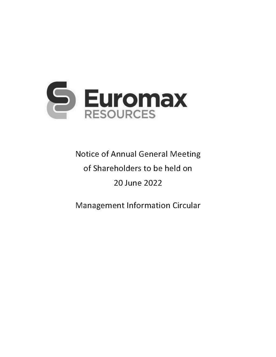

**Notice of Annual General Meeting** of Shareholders to be held on 20 June 2022

Management Information Circular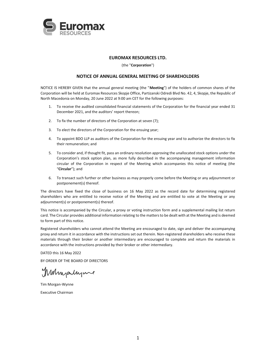

# **EUROMAX RESOURCES LTD.**

(the "**Corporation**")

# **NOTICE OF ANNUAL GENERAL MEETING OF SHAREHOLDERS**

NOTICE IS HEREBY GIVEN that the annual general meeting (the "**Meeting**") of the holders of common shares of the Corporation will be held at Euromax Resources Skopje Office, Partizanski Odredi Blvd No. 42, 4, Skopje, the Republic of North Macedonia on Monday, 20 June 2022 at 9:00 am CET for the following purposes:

- 1. To receive the audited consolidated financial statements of the Corporation for the financial year ended 31 December 2021, and the auditors' report thereon;
- 2. To fix the number of directors of the Corporation at seven (7);
- 3. To elect the directors of the Corporation for the ensuing year;
- 4. To appoint BDO LLP as auditors of the Corporation for the ensuing year and to authorize the directors to fix their remuneration; and
- 5. To consider and, if thought fit, pass an ordinary resolution approving the unallocated stock options under the Corporation's stock option plan, as more fully described in the accompanying management information circular of the Corporation in respect of the Meeting which accompanies this notice of meeting (the "**Circular**"); and
- 6. To transact such further or other business as may properly come before the Meeting or any adjournment or postponement(s) thereof.

The directors have fixed the close of business on 16 May 2022 as the record date for determining registered shareholders who are entitled to receive notice of the Meeting and are entitled to vote at the Meeting or any adjournment(s) or postponement(s) thereof.

This notice is accompanied by the Circular, a proxy or voting instruction form and a supplemental mailing list return card. The Circular provides additional information relating to the matters to be dealt with at the Meeting and is deemed to form part of this notice.

Registered shareholders who cannot attend the Meeting are encouraged to date, sign and deliver the accompanying proxy and return it in accordance with the instructions set out therein. Non-registered shareholders who receive these materials through their broker or another intermediary are encouraged to complete and return the materials in accordance with the instructions provided by their broker or other intermediary.

DATED this 16 May 2022

BY ORDER OF THE BOARD OF DIRECTORS

Muhigalyne

Tim Morgan-Wynne Executive Chairman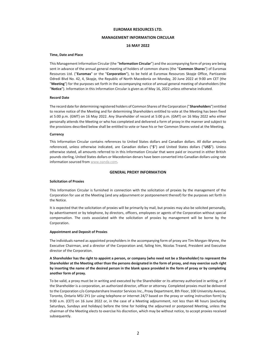#### **EUROMAX RESOURCES LTD.**

## **MANAGEMENT INFORMATION CIRCULAR**

## **16 MAY 2022**

#### **Time, Date and Place**

This Management Information Circular (the "**Information Circular**") and the accompanying form of proxy are being sent in advance of the annual general meeting of holders of common shares (the "**Common Shares**") of Euromax Resources Ltd. ("**Euromax**" or the "**Corporation**"), to be held at Euromax Resources Skopje Office, Partizanski Odredi Blvd No. 42, 4, Skopje, the Republic of North Macedonia on Monday, 20 June 2022 at 9:00 am CET (the "**Meeting**") for the purposes set forth in the accompanying notice of annual general meeting of shareholders (the "**Notice**"). Information in this Information Circular is given as of May 16, 2022 unless otherwise indicated.

#### **Record Date**

The record date for determining registered holders of Common Shares of the Corporation ("**Shareholders**") entitled to receive notice of the Meeting and for determining Shareholders entitled to vote at the Meeting has been fixed at 5:00 p.m. (GMT) on 16 May 2022. Any Shareholder of record at 5:00 p.m. (GMT) on 16 May 2022 who either personally attends the Meeting or who has completed and delivered a form of proxy in the manner and subject to the provisions described below shall be entitled to vote or have his or her Common Shares voted at the Meeting.

#### **Currency**

This Information Circular contains references to United States dollars and Canadian dollars. All dollar amounts referenced, unless otherwise indicated, are Canadian dollars ("**\$**") and United States dollars ("**US\$**"). Unless otherwise stated, all amounts referred to in this Information Circular that were paid or incurred in either British pounds sterling, United States dollars or Macedonian denars have been converted into Canadian dollars using rate information sourced from www.oanda.com.

#### **GENERAL PROXY INFORMATION**

#### **Solicitation of Proxies**

This Information Circular is furnished in connection with the solicitation of proxies by the management of the Corporation for use at the Meeting (and any adjournment or postponement thereof) for the purposes set forth in the Notice.

It is expected that the solicitation of proxies will be primarily by mail, but proxies may also be solicited personally, by advertisement or by telephone, by directors, officers, employees or agents of the Corporation without special compensation. The costs associated with the solicitation of proxies by management will be borne by the Corporation.

#### **Appointment and Deposit of Proxies**

The individuals named as appointed proxyholders in the accompanying form of proxy are Tim Morgan-Wynne, the Executive Chairman, and a director of the Corporation and, failing him, Nicolas Treand, President and Executive director of the Corporation.

**A Shareholder has the right to appoint a person, or company (who need not be a Shareholder) to represent the Shareholder at the Meeting other than the persons designated in the form of proxy, and may exercise such right by inserting the name of the desired person in the blank space provided in the form of proxy or by completing another form of proxy.** 

To be valid, a proxy must be in writing and executed by the Shareholder or its attorney authorized in writing, or if the Shareholder is a corporation, an authorized director, officer or attorney. Completed proxies must be delivered to the Corporation c/o Computershare Investor Services Inc., Proxy Department, 8th Floor, 100 University Avenue, Toronto, Ontario M5J 2Y1 (or using telephone or internet 24/7 based on the proxy or voting instruction form) by 9:00 a.m. (CET) on 16 June 2022 or, in the case of a Meeting adjournment, not less than 48 hours (excluding Saturdays, Sundays and holidays) before the time for holding the adjourned or postponed Meeting, unless the chairman of the Meeting elects to exercise his discretion, which may be without notice, to accept proxies received subsequently.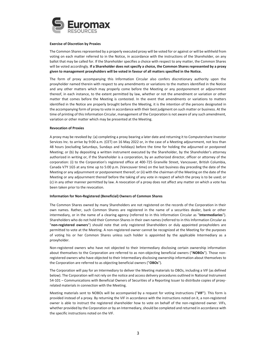

#### **Exercise of Discretion by Proxies**

The Common Shares represented by a properly executed proxy will be voted for or against or will be withheld from voting on each matter referred to in the Notice, in accordance with the instructions of the Shareholder, on any ballot that may be called for. If the Shareholder specifies a choice with respect to any matter, the Common Shares will be voted accordingly. **If a Shareholder does not specify a choice, the Common Shares represented by a proxy given to management proxyholders will be voted in favour of all matters specified in the Notice.**

The form of proxy accompanying this Information Circular also confers discretionary authority upon the proxyholder named therein with respect to any amendments or variations to the matters identified in the Notice and any other matters which may properly come before the Meeting or any postponement or adjournment thereof, in each instance, to the extent permitted by law, whether or not the amendment or variation or other matter that comes before the Meeting is contested. In the event that amendments or variations to matters identified in the Notice are properly brought before the Meeting, it is the intention of the persons designated in the accompanying form of proxy to vote in accordance with their best judgment on such matter or business. At the time of printing of this Information Circular, management of the Corporation is not aware of any such amendment, variation or other matter which may be presented at the Meeting.

#### **Revocation of Proxies**

A proxy may be revoked by: (a) completing a proxy bearing a later date and returning it to Computershare Investor Services Inc. to arrive by 9:00 a.m. (CET) on 16 May 2022 or, in the case of a Meeting adjournment, not less than 48 hours (excluding Saturdays, Sundays and holidays) before the time for holding the adjourned or postponed Meeting; or (b) by depositing a written instrument executed by the Shareholder, by the Shareholder's attorney authorized in writing or, if the Shareholder is a corporation, by an authorized director, officer or attorney of the corporation: (i) to the Corporation's registered office at 400-725 Granville Street, Vancouver, British Columbia, Canada V7Y 1G5 at any time up to 5:00 p.m. (Vancouver time) on the last business day preceding the date of the Meeting or any adjournment or postponement thereof; or (ii) with the chairman of the Meeting on the date of the Meeting or any adjournment thereof before the taking of any vote in respect of which the proxy is to be used; or (c) in any other manner permitted by law. A revocation of a proxy does not affect any matter on which a vote has been taken prior to the revocation.

#### **Information for Non-Registered (Beneficial) Owners of Common Shares**

The Common Shares owned by many Shareholders are not registered on the records of the Corporation in their own names. Rather, such Common Shares are registered in the name of a securities dealer, bank or other intermediary, or in the name of a clearing agency (referred to in this Information Circular as "**Intermediaries**"). Shareholders who do not hold their Common Shares in their own names (referred to in this Information Circular as "**non-registered owners**") should note that only registered Shareholders or duly appointed proxyholders are permitted to vote at the Meeting. A non-registered owner cannot be recognized at the Meeting for the purposes of voting his or her Common Shares unless such holder is appointed by the applicable Intermediary as a proxyholder.

Non-registered owners who have not objected to their Intermediary disclosing certain ownership information about themselves to the Corporation are referred to as non-objecting beneficial owners ("**NOBOs**"). Those nonregistered owners who have objected to their Intermediary disclosing ownership information about themselves to the Corporation are referred to as objecting beneficial owners ("**OBOs**").

The Corporation will pay for an Intermediary to deliver the Meeting materials to OBOs, including a VIF (as defined below). The Corporation will not rely on the notice and access delivery procedures outlined in National Instrument 54-101 – Communications with Beneficial Owners of Securities of a Reporting Issuer to distribute copies of proxyrelated materials in connection with the Meeting.

Meeting materials sent to NOBOs will be accompanied by a request for voting instructions ("**VIF**"). This form is provided instead of a proxy. By returning the VIF in accordance with the instructions noted on it, a non-registered owner is able to instruct the registered shareholder how to vote on behalf of the non-registered owner. VIFs, whether provided by the Corporation or by an Intermediary, should be completed and returned in accordance with the specific instructions noted on the VIF.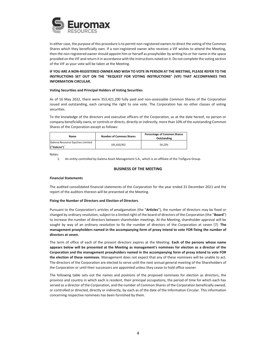

In either case, the purpose of this procedure is to permit non-registered owners to direct the voting of the Common Shares which they beneficially own. If a non-registered owner who receives a VIF wishes to attend the Meeting, then the non-registered owner should appoint him or herself as proxyholder by writing his or her name in the space provided on the VIF and return it in accordance with the instructions noted on it. Do not complete the voting section of the VIF as your vote will be taken at the Meeting.

# **IF YOU ARE A NON-REGISTERED OWNER AND WISH TO VOTE IN PERSON AT THE MEETING, PLEASE REFER TO THE INSTRUCTIONS SET OUT ON THE "REQUEST FOR VOTING INSTRUCTIONS" (VIF) THAT ACCOMPANIES THIS INFORMATION CIRCULAR.**

#### **Voting Securities and Principal Holders of Voting Securities**

As of 16 May 2022, there were 353,421,200 fully paid and non-assessable Common Shares of the Corporation issued and outstanding, each carrying the right to one vote. The Corporation has no other classes of voting securities.

To the knowledge of the directors and executive officers of the Corporation, as at the date hereof, no person or company beneficially owns, or controls or directs, directly or indirectly, more than 10% of the outstanding Common Shares of the Corporation except as follows:

| Name                                           | <b>Number of Common Shares</b> | <b>Percentage of Common Shares</b><br>Outstanding |  |
|------------------------------------------------|--------------------------------|---------------------------------------------------|--|
| Galena Resource Equities Limited<br>("Galena") | 191.610.952                    | 54.22%                                            |  |

Notes:

1. An entity controlled by Galena Asset Management S.A., which is an affiliate of the Trafigura Group.

## **BUSINESS OF THE MEETING**

#### **Financial Statements**

The audited consolidated financial statements of the Corporation for the year ended 31 December 2021 and the report of the auditors thereon will be presented at the Meeting.

## **Fixing the Number of Directors and Election of Directors**

Pursuant to the Corporation's articles of amalgamation (the "**Articles**"), the number of directors may be fixed or changed by ordinary resolution, subject to a limited right of the board of directors of the Corporation (the "**Board**") to increase the number of directors between shareholder meetings. At the Meeting, shareholder approval will be sought by way of an ordinary resolution to fix the number of directors of the Corporation at seven (7). **The management proxyholders named in the accompanying form of proxy intend to vote FOR fixing the number of directors at seven**.

The term of office of each of the present directors expires at the Meeting. **Each of the persons whose name appears below will be presented at the Meeting as management's nominees for election as a director of the Corporation and the management proxyholders named in the accompanying form of proxy intend to vote FOR the election of these nominees**. Management does not expect that any of these nominees will be unable to act. The directors of the Corporation are elected to serve until the next annual general meeting of the Shareholders of the Corporation or until their successors are appointed unless they cease to hold office sooner.

The following table sets out the names and positions of the proposed nominees for election as directors, the province and country in which each is resident, their principal occupations, the period of time for which each has served as a director of the Corporation, and the number of Common Shares of the Corporation beneficially owned, or controlled or directed, directly or indirectly, by each as of the date of the Information Circular. This information concerning respective nominees has been furnished by them.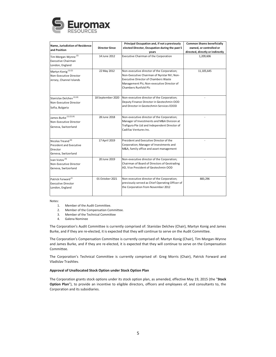

| Name, Jurisdiction of Residence<br>and Position                                                    | <b>Director Since</b> | Principal Occupation and, if not a previously<br>elected Director, Occupation during the past 5<br>years                                                                                                     | <b>Common Shares beneficially</b><br>owned, or controlled or<br>directed, directly or indirectly |
|----------------------------------------------------------------------------------------------------|-----------------------|--------------------------------------------------------------------------------------------------------------------------------------------------------------------------------------------------------------|--------------------------------------------------------------------------------------------------|
| Tim Morgan-Wynne <sup>(2)</sup><br><b>Executive Chairman</b><br>London, England                    | 14 June 2012          | Executive Chairman of the Corporation                                                                                                                                                                        | 1,209,606                                                                                        |
| Martyn Konig <sup>(1)(2)</sup><br>Non-Executive Director<br>Jersey, Channel Islands                | 22 May 2012           | Non-executive director of the Corporation;<br>Non-Executive Chairman of Nyrstar NV; Non-<br><b>Executive Director of Chambers Waste</b><br>Management Plc; Non-executive Director of<br>Chambers Runfold Plc | 11, 105, 645                                                                                     |
| Stanislay Delchey <sup>(1)(4)</sup><br>Non-Executive Director<br>Sofia, Bulgaria                   | 18 September 2020     | Non-executive director of the Corporation;<br>Deputy Finance Director in Geotechmin OOD<br>and Director in Geotechmin Services EOOD                                                                          |                                                                                                  |
| James Burke (1) (2) (4)<br>Non-Executive Director<br>Geneva, Switzerland                           | 28 June 2018          | Non-executive director of the Corporation;<br>Manager of Investments and M&A Division at<br>Trafigura Pte Ltd and Independent Director of<br>Cadillac Ventures Inc.                                          |                                                                                                  |
| Nicolas Treand <sup>(4)</sup><br><b>President and Executive</b><br>Director<br>Geneva, Switzerland | 17 April 2019         | President and Executive Director of the<br>Corporation; Manager of Investments and<br>M&A, family office and asset management                                                                                |                                                                                                  |
| Ivan Vutov <sup>(4)</sup><br>Non-Executive Director<br>Geneva, Switzerland                         | 20 June 2019          | Non-executive director of the Corporation;<br>Chairman of Board of Directors of Geotrading<br>AD, Vice President of Geotechmin OOD                                                                           |                                                                                                  |
| Patrick Forward <sup>(3</sup><br><b>Executive Director</b><br>London, England                      | 01 October 2021       | Non-executive director of the Corporation;<br>previously served as Chief Operating Officer of<br>the Corporation from November 2012                                                                          | 883,296                                                                                          |

Notes:

- 1. Member of the Audit Committee.
- 2. Member of the Compensation Committee.
- 3. Member of the Technical Committee
- 4. Galena Nominee

The Corporation's Audit Committee is currently comprised of: Stanislav Delchev (Chair), Martyn Konig and James Burke, and if they are re-elected, it is expected that they will continue to serve on the Audit Committee.

The Corporation's Compensation Committee is currently comprised of: Martyn Konig (Chair), Tim Morgan-Wynne and James Burke, and if they are re-elected, it is expected that they will continue to serve on the Compensation Committee.

The Corporation's Technical Committee is currently comprised of: Greg Morris (Chair), Patrick Forward and Vladislav Trashliev.

## **Approval of Unallocated Stock Option under Stock Option Plan**

The Corporation grants stock options under its stock option plan, as amended, effective May 19, 2015 (the "**Stock Option Plan**"), to provide an incentive to eligible directors, officers and employees of, and consultants to, the Corporation and its subsidiaries.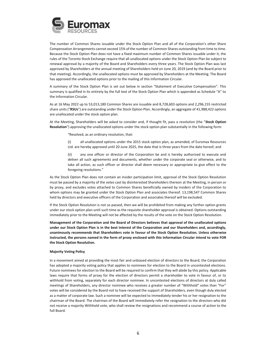

The number of Common Shares issuable under the Stock Option Plan and all of the Corporation's other Share Compensation Arrangements cannot exceed 15% of the number of Common Shares outstanding from time to time. Because the Stock Option Plan does not have a fixed maximum number of Common Shares issuable under it, the rules of the Toronto Stock Exchange require that all unallocated options under the Stock Option Plan be subject to renewal approval by a majority of the Board and Shareholders every three years. The Stock Option Plan was last approved by Shareholders at the annual meeting of Shareholders held on June 20, 2019 (and by the Board prior to that meeting). Accordingly, the unallocated options must be approved by Shareholders at the Meeting. The Board has approved the unallocated options prior to the mailing of this Information Circular.

A summary of the Stock Option Plan is set out below in section "Statement of Executive Compensation". This summary is qualified in its entirety by the full text of the Stock Option Plan which is appended as Schedule "A" to the Information Circular.

As at 16 May 2022 up to 53,013,180 Common Shares are issuable and 8,728,603 options and 2,296,155 restricted share units ("**RSUs**") are outstanding under the Stock Option Plan. Accordingly, an aggregate of 41,988,422 options are unallocated under the stock option plan.

At the Meeting, Shareholders will be asked to consider and, if thought fit, pass a resolution (the "**Stock Option Resolution**") approving the unallocated options under the stock option plan substantially in the following form:

"Resolved, as an ordinary resolution, that:

(i) all unallocated options under the 2015 stock option plan, as amended, of Euromax Resources Ltd. are hereby approved until 20 June 2025, the date that is three years from the date hereof; and

(ii) any one officer or director of the Corporation be and is hereby authorized to execute and deliver all such agreements and documents, whether under the corporate seal or otherwise, and to take all action, as such officer or director shall deem necessary or appropriate to give effect to the foregoing resolutions."

As the Stock Option Plan does not contain an insider participation limit, approval of the Stock Option Resolution must be passed by a majority of the votes cast by disinterested Shareholders thereon at the Meeting, in person or by proxy, and excludes votes attached to Common Shares beneficially owned by insiders of the Corporation to whom options may be granted under the Stock Option Plan and associates thereof. 13,198,547 Common Shares held by directors and executive officers of the Corporation and associates thereof will be excluded.

If the Stock Option Resolution is not so passed, then we will be prohibited from making any further option grants under our stock option plan until such time as the requisite shareholder approval is obtained. Options outstanding immediately prior to the Meeting will not be affected by the results of the vote on the Stock Option Resolution.

**Management of the Corporation and the Board of Directors believes that approval of the unallocated options under our Stock Option Plan is in the best interest of the Corporation and our Shareholders and, accordingly, unanimously recommends that Shareholders vote in favour of the Stock Option Resolution. Unless otherwise instructed, the persons named in the form of proxy enclosed with this Information Circular intend to vote FOR the Stock Option Resolution.** 

#### **Majority Voting Policy**

In a movement aimed at providing the most fair and unbiased election of directors to the Board, the Corporation has adopted a majority voting policy that applies to nominees for election to the Board in uncontested elections. Future nominees for election to the Board will be required to confirm that they will abide by this policy. Applicable laws require that forms of proxy for the election of directors permit a shareholder to vote in favour of, or to withhold from voting, separately for each director nominee. In uncontested elections of directors at duly called meetings of Shareholders, any director nominee who receives a greater number of "Withhold" votes than "For" votes will be considered by the Board not to have received the support of Shareholders, even though duly elected as a matter of corporate law. Such a nominee will be expected to immediately tender his or her resignation to the chairman of the Board. The chairman of the Board will immediately refer the resignation to the directors who did not receive a majority Withhold vote, who shall review the resignations and recommend a course of action to the full Board.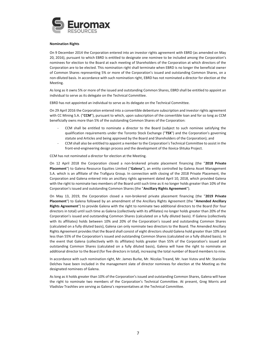

#### **Nomination Rights**

On 9 December 2014 the Corporation entered into an investor rights agreement with EBRD (as amended on May 20, 2016), pursuant to which EBRD is entitled to designate one nominee to be included among the Corporation's nominees for election to the Board at each meeting of Shareholders of the Corporation at which directors of the Corporation are to be elected. This nomination right shall terminate when EBRD is no longer the beneficial owner of Common Shares representing 5% or more of the Corporation's issued and outstanding Common Shares, on a non-diluted basis. In accordance with such nomination right, EBRD has not nominated a director for election at the Meeting.

As long as it owns 5% or more of the issued and outstanding Common Shares, EBRD shall be entitled to appoint an individual to serve as its delegate on the Technical Committee.

EBRD has not appointed an individual to serve as its delegate on the Technical Committee.

On 29 April 2016 the Corporation entered into a convertible debenture subscription and investor rights agreement with CC Mining S.A. ("**CCM**"), pursuant to which, upon subscription of the convertible loan and for so long as CCM beneficially owns more than 5% of the outstanding Common Shares of the Corporation:

- CCM shall be entitled to nominate a director to the Board (subject to such nominee satisfying the qualification requirements under the Toronto Stock Exchange ("**TSX**") and the Corporation's governing statute and Articles and being approved by the Board and Shareholders of the Corporation); and
- CCM shall also be entitled to appoint a member to the Corporation's Technical Committee to assist in the front-end-engineering design process and the development of the Ilovica-Shtuka Project.

CCM has not nominated a director for election at the Meeting.

On 12 April 2018 the Corporation closed a non-brokered private placement financing (the "**2018 Private Placement**") to Galena Resource Equities Limited ("**Galena**"), an entity controlled by Galena Asset Management S.A. which is an affiliate of the Trafigura Group. In connection with closing of the 2018 Private Placement, the Corporation and Galena entered into an ancillary rights agreement dated April 10, 2018, which provided Galena with the right to nominate two members of the Board until such time as it no longer holds greater than 10% of the Corporation's issued and outstanding Common Shares (the "**Ancillary Rights Agreement**").

On May 13, 2019, the Corporation closed a non-brokered private placement financing (the "**2019 Private Placement**") to Galena followed by an amendment of the Ancillary Rights Agreement (the "**Amended Ancillary Rights Agreement**") to provide Galena with the right to nominate two additional directors to the Board (for four directors in total) until such time as Galena (collectively with its affiliates) no longer holds greater than 20% of the Corporation's issued and outstanding Common Shares (calculated on a fully diluted basis). If Galena (collectively with its affiliates) holds between 10% and 20% of the Corporation's issued and outstanding Common Shares (calculated on a fully diluted basis), Galena can only nominate two directors to the Board. The Amended Ancillary Rights Agreement provides that the Board shall consist of eight directors should Galena hold greater than 10% and less than 55% of the Corporation's issued and outstanding Common Shares (calculated on a fully diluted basis). In the event that Galena (collectively with its affiliates) holds greater than 55% of the Corporation's issued and outstanding Common Shares (calculated on a fully diluted basis), Galena will have the right to nominate an additional director to the Board (for five directors in total), increasing the total number of Board members to nine.

In accordance with such nomination right, Mr. James Burke, Mr. Nicolas Treand, Mr. Ivan Vutov and Mr. Stanislav Delchev have been included in the management slate of director nominees for election at the Meeting as the designated nominees of Galena.

As long as it holds greater than 10% of the Corporation's issued and outstanding Common Shares, Galena will have the right to nominate two members of the Corporation's Technical Committee. At present, Greg Morris and Vladislav Trashliev are serving as Galena's representatives at the Technical Committee.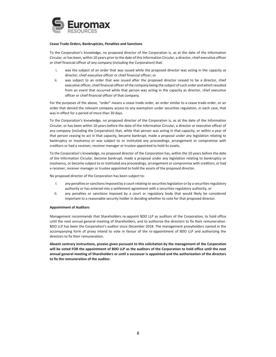

## **Cease Trade Orders, Bankruptcies, Penalties and Sanctions**

To the Corporation's knowledge, no proposed director of the Corporation is, as at the date of the Information Circular, or has been, within 10 years prior to the date of this Information Circular, a director, chief executive officer or chief financial officer of any company (including the Corporation) that:

- i. was the subject of an order that was issued while the proposed director was acting in the capacity as director, chief executive officer or chief financial officer; or
- ii. was subject to an order that was issued after the proposed director ceased to be a director, chief executive officer, chief financial officer of the company being the subject of such order and which resulted from an event that occurred while that person was acting in the capacity as director, chief executive officer or chief financial officer of that company.

For the purposes of the above, "order" means a cease trade order, an order similar to a cease trade order, or an order that denied the relevant company access to any exemption under securities regulation, in each case, that was in effect for a period of more than 30 days.

To the Corporation's knowledge, no proposed director of the Corporation is, as at the date of the Information Circular, or has been within 10 years before the date of the Information Circular, a director or executive officer of any company (including the Corporation) that, while that person was acting in that capacity, or within a year of that person ceasing to act in that capacity, became bankrupt, made a proposal under any legislation relating to bankruptcy or insolvency or was subject to or instituted any proceedings, arrangement or compromise with creditors or had a receiver, receiver manager or trustee appointed to hold its assets.

To the Corporation's knowledge, no proposed director of the Corporation has, within the 10 years before the date of the Information Circular, become bankrupt, made a proposal under any legislation relating to bankruptcy or insolvency, or become subject to or instituted any proceedings, arrangement or compromise with creditors, or had a receiver, receiver manager or trustee appointed to hold the assets of the proposed director.

No proposed director of the Corporation has been subject to:

- I. any penalties or sanctions imposed by a court relating to securities legislation or by a securities regulatory authority or has entered into a settlement agreement with a securities regulatory authority, or
- II. any penalties or sanctions imposed by a court or regulatory body that would likely be considered important to a reasonable security holder in deciding whether to vote for that proposed director.

#### **Appointment of Auditors**

Management recommends that Shareholders re-appoint BDO LLP as auditors of the Corporation, to hold office until the next annual general meeting of Shareholders, and to authorize the directors to fix their remuneration. BDO LLP has been the Corporation's auditor since December 2018. The management proxyholders named in the accompanying form of proxy intend to vote in favour of the re-appointment of BDO LLP and authorizing the directors to fix their remuneration.

**Absent contrary instructions, proxies given pursuant to this solicitation by the management of the Corporation will be voted FOR the appointment of BDO LLP as the auditors of the Corporation to hold office until the next annual general meeting of Shareholders or until a successor is appointed and the authorization of the directors to fix the remuneration of the auditor.**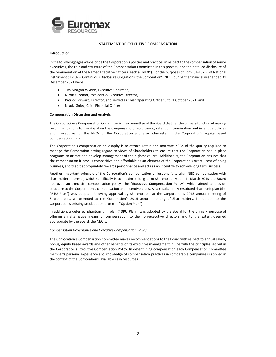

## **STATEMENT OF EXECUTIVE COMPENSATION**

#### **Introduction**

In the following pages we describe the Corporation's policies and practices in respect to the compensation of senior executives, the role and structure of the Compensation Committee in this process, and the detailed disclosure of the remuneration of the Named Executive Officers (each a "**NEO**"). For the purposes of Form 51-102F6 of National Instrument 51-102 – Continuous Disclosure Obligations, the Corporation's NEOs during the financial year ended 31 December 2021 were:

- Tim Morgan-Wynne, Executive Chairman;
- Nicolas Treand, President & Executive Director;
- Patrick Forward, Director, and served as Chief Operating Officer until 1 October 2021, and
- Nikola Gulev, Chief Financial Officer.

## **Compensation Discussion and Analysis**

The Corporation's Compensation Committee is the committee of the Board that has the primary function of making recommendations to the Board on the compensation, recruitment, retention, termination and incentive policies and procedures for the NEOs of the Corporation and also administering the Corporation's equity based compensation plans.

The Corporation's compensation philosophy is to attract, retain and motivate NEOs of the quality required to manage the Corporation having regard to views of Shareholders to ensure that the Corporation has in place programs to attract and develop management of the highest calibre. Additionally, the Corporation ensures that the compensation it pays is competitive and affordable as an element of the Corporation's overall cost of doing business, and that it appropriately rewards performance and acts as an incentive to achieve long term success.

Another important principle of the Corporation's compensation philosophy is to align NEO compensation with shareholder interests, which specifically is to maximise long term shareholder value. In March 2013 the Board approved an executive compensation policy (the "**Executive Compensation Policy**") which aimed to provide structure to the Corporation's compensation and incentive plans. As a result, a new restricted share unit plan (the "**RSU Plan**") was adopted following approval by Shareholders at the Corporation's 2013 annual meeting of Shareholders, as amended at the Corporation's 2015 annual meeting of Shareholders, in addition to the Corporation's existing stock option plan (the "**Option Plan**").

In addition, a deferred phantom unit plan ("**DPU Plan**") was adopted by the Board for the primary purpose of offering an alternative means of compensation to the non-executive directors and to the extent deemed appropriate by the Board, the NEO's.

#### *Compensation Governance and Executive Compensation Policy*

The Corporation's Compensation Committee makes recommendations to the Board with respect to annual salary, bonus, equity based awards and other benefits of its executive management in line with the principles set out in the Corporation's Executive Compensation Policy. In determining compensation each Compensation Committee member's personal experience and knowledge of compensation practices in comparable companies is applied in the context of the Corporation's available cash resources.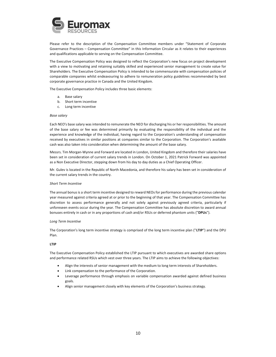

Please refer to the description of the Compensation Committee members under "Statement of Corporate Governance Practices – Compensation Committee" in this Information Circular as it relates to their experiences and qualifications applicable to serving on the Compensation Committee.

The Executive Compensation Policy was designed to reflect the Corporation's new focus on project development with a view to motivating and retaining suitably skilled and experienced senior management to create value for Shareholders. The Executive Compensation Policy is intended to be commensurate with compensation policies of comparable companies whilst endeavouring to adhere to remuneration policy guidelines recommended by best corporate governance practice in Canada and the United Kingdom.

The Executive Compensation Policy includes three basic elements:

- a. Base salary
- b. Short term incentive
- c. Long term incentive

#### *Base salary*

Each NEO's base salary was intended to remunerate the NEO for discharging his or her responsibilities. The amount of the base salary or fee was determined primarily by evaluating the responsibility of the individual and the experience and knowledge of the individual, having regard to the Corporation's understanding of compensation received by executives in similar positions at companies similar to the Corporation. The Corporation's available cash was also taken into consideration when determining the amount of the base salary.

Messrs. Tim Morgan-Wynne and Forward are located in London, United Kingdom and therefore their salaries have been set in consideration of current salary trends in London. On October 1, 2021 Patrick Forward was appointed as a Non Executive Director, stepping down from his day to day duties as a Chief Operating Officer.

Mr. Gulev is located in the Republic of North Macedonia, and therefore his salary has been set in consideration of the current salary trends in the country.

#### *Short Term Incentive*

The annual bonus is a short term incentive designed to reward NEOs for performance during the previous calendar year measured against criteria agreed at or prior to the beginning of that year. The Compensation Committee has discretion to assess performance generally and not solely against previously agreed criteria, particularly if unforeseen events occur during the year. The Compensation Committee has absolute discretion to award annual bonuses entirely in cash or in any proportions of cash and/or RSUs or deferred phantom units ("**DPUs**").

#### *Long Term Incentive*

The Corporation's long term incentive strategy is comprised of the long term incentive plan ("**LTIP**") and the DPU Plan.

#### **LTIP**

The Executive Compensation Policy established the LTIP pursuant to which executives are awarded share options and performance related RSUs which vest over three years. The LTIP aims to achieve the following objectives:

- Align the interests of senior management with the medium to long term interests of Shareholders.
- Link compensation to the performance of the Corporation.
- x Leverage performance through emphasis on variable compensation awarded against defined business goals.
- Align senior management closely with key elements of the Corporation's business strategy.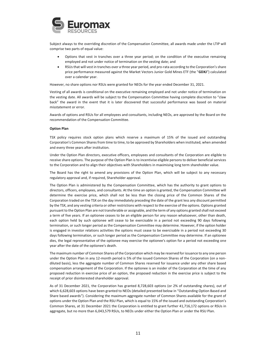

Subject always to the overriding discretion of the Compensation Committee, all awards made under the LTIP will comprise two parts of equal value:

- Options that vest in tranches over a three year period; on the condition of the executive remaining employed and not under notice of termination on the vesting date; and
- RSUs that will vest in tranches over a three year period, and pro-rata according to the Corporation's share price performance measured against the Market Vectors Junior Gold Mines ETF (the "**GDXJ**") calculated over a calendar year.

However, no share options nor RSUs were granted for NEOs for the year ended December 31, 2021.

Vesting of all awards is conditional on the executive remaining employed and not under notice of termination on the vesting date. All awards will be subject to the Compensation Committee having complete discretion to "claw back" the award in the event that it is later discovered that successful performance was based on material misstatement or error.

Awards of options and RSUs for all employees and consultants, including NEOs, are approved by the Board on the recommendation of the Compensation Committee.

#### **Option Plan**

TSX policy requires stock option plans which reserve a maximum of 15% of the issued and outstanding Corporation's Common Shares from time to time, to be approved by Shareholders when instituted, when amended and every three years after institution.

Under the Option Plan directors, executive officers, employees and consultants of the Corporation are eligible to receive share options. The purpose of the Option Plan is to incentivise eligible persons to deliver beneficial services to the Corporation and to align their objectives with Shareholders in maximising long term shareholder value.

The Board has the right to amend any provisions of the Option Plan, which will be subject to any necessary regulatory approval and, if required, Shareholder approval.

The Option Plan is administered by the Compensation Committee, which has the authority to grant options to directors, officers, employees, and consultants. At the time an option is granted, the Compensation Committee will determine the exercise price, which shall not be less than the closing price of the Common Shares of the Corporation traded on the TSX on the day immediately preceding the date of the grant less any discount permitted by the TSX, and any vesting criteria or other restrictions with respect to the exercise of the options. Options granted pursuant to the Option Plan are not transferable or assignable, and the term of any options granted shall not exceed a term of five years. If an optionee ceases to be an eligible person for any reason whatsoever, other than death, each option held by such optionee will cease to be exercisable in a period not exceeding 90 days following termination, or such longer period as the Compensation Committee may determine. However, if the option holder is engaged in investor relations activities the options must cease to be exercisable in a period not exceeding 30 days following termination, or such longer period as the Compensation Committee may determine. If an optionee dies, the legal representative of the optionee may exercise the optionee's option for a period not exceeding one year after the date of the optionee's death.

The maximum number of Common Shares of the Corporation which may be reserved for issuance to any one person under the Option Plan in any 12-month period is 5% of the issued Common Shares of the Corporation (on a nondiluted basis), less the aggregate number of Common Shares reserved for issuance under any other share based compensation arrangement of the Corporation. If the optionee is an insider of the Corporation at the time of any proposed reduction in exercise price of an option, the proposed reduction in the exercise price is subject to the receipt of prior disinterested shareholder approval.

As of 31 December 2021, the Corporation has granted 8,728,603 options (or 2% of outstanding shares), out of which 6,628,603 options have been granted to NEOs (detailed presented below in "Outstanding Option Based and Share based awards"). Considering the maximum aggregate number of Common Shares available for the grant of options under the Option Plan and the RSU Plan, which is equal to 15% of the issued and outstanding Corporation's Common Shares, at 31 December 2021 the Corporation is entitled to grant further 41,716,172 options or RSUs in aggregate, but no more than 6,043,579 RSUs, to NEOs under either the Option Plan or under the RSU Plan.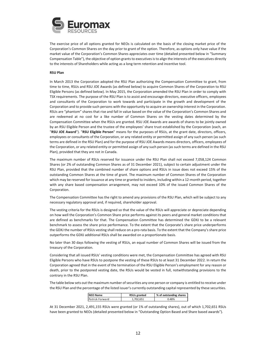

The exercise price of all options granted for NEOs is calculated on the basis of the closing market price of the Corporation's Common Shares on the day prior to grant of the option. Therefore, as options only have value if the market value of the Corporation's Common Shares appreciates over time (detailed presented below in "Summary Compensation Table"), the objective of option grants to executives is to align the interests of the executives directly to the interests of Shareholders while acting as a long term retention and incentive tool.

#### **RSU Plan**

In March 2013 the Corporation adopted the RSU Plan authorizing the Compensation Committee to grant, from time to time, RSUs and RSU JOE Awards (as defined below) to acquire Common Shares of the Corporation to RSU Eligible Persons (as defined below). In May 2015, the Corporation amended the RSU Plan in order to comply with TSX requirements. The purpose of the RSU Plan is to assist and encourage directors, executive officers, employees and consultants of the Corporation to work towards and participate in the growth and development of the Corporation and to provide such persons with the opportunity to acquire an ownership interest in the Corporation. RSUs are "phantom" shares that rise and fall in value based on the value of the Corporation's Common Shares and are redeemed at no cost for a like number of Common Shares on the vesting dates determined by the Compensation Committee when the RSUs are granted. RSU JOE Awards are awards of shares to be jointly owned by an RSU Eligible Person and the trustee of the employees' share trust established by the Corporation (each, an "**RSU JOE Award**"). "**RSU Eligible Person**" means for the purposes of RSUs, at the grant date, directors, officers, employees or consultants of the Corporation, or any related entity or permitted assign of any such person (as such terms are defined in the RSU Plan) and for the purpose of RSU JOE Awards means directors, officers, employees of the Corporation, or any related entity or permitted assign of any such person (as such terms are defined in the RSU Plan), provided that they are not in Canada.

The maximum number of RSUs reserved for issuance under the RSU Plan shall not exceed 7,058,124 Common Shares (or 2% of outstanding Common Shares as of 31 December 2021), subject to certain adjustment under the RSU Plan, provided that the combined number of share options and RSUs in issue does not exceed 15% of the outstanding Common Shares at the time of grant. The maximum number of Common Shares of the Corporation which may be reserved for issuance at any time or granted to insiders, including within a 12-month period, together with any share based compensation arrangement, may not exceed 10% of the issued Common Shares of the Corporation.

The Compensation Committee has the right to amend any provisions of the RSU Plan, which will be subject to any necessary regulatory approval and, if required, shareholder approval.

The vesting criteria for the RSUs is designed so that the value of the RSUs will appreciate or depreciate depending on how well the Corporation's Common Share price performs against its peers and general market conditions that are defined as benchmarks for that. The Compensation Committee has determined the GDXJ to be a relevant benchmark to assess the share price performance. To the extent that the Corporate's share price underperforms the GDXJ the number of RSUs vesting shall reduce on a pro-rata basis. To the extent that the Company's share price outperforms the GDXJ additional RSUs shall be awarded on a proportionate basis.

No later than 30 days following the vesting of RSUs, an equal number of Common Shares will be issued from the treasury of the Corporation.

Considering that all issued RSUs' vesting conditions were met, the Compensation Committee has agreed with RSU Eligible Persons who have RSUs to postpone the vesting of these RSUs to at least 31 December 2022. In return the Corporation agreed that in the event of the termination of the RSU Eligible Person's employment for any reason or death, prior to the postponed vesting date, the RSUs would be vested in full, notwithstanding provisions to the contrary in the RSU Plan.

The table below sets out the maximum number of securities any one person or company is entitled to receive under the RSU Plan and the percentage of the listed issuer's currently outstanding capital represented by these securities.

| <b>NEO Name</b>        | RSUs granted | % of outstanding shares |
|------------------------|--------------|-------------------------|
| <b>Patrick Forward</b> | 1.702.651    | 0.48%                   |

At 31 December 2021, 2,491,155 RSUs were granted (or 1% of outstanding shares), out of which 1,702,651 RSUs have been granted to NEOs (detailed presented below in "Outstanding Option Based and Share based awards").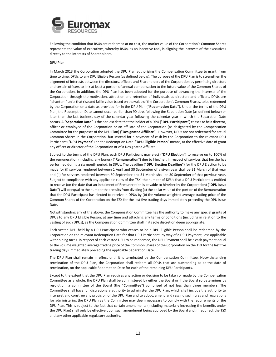

Following the condition that RSUs are redeemed at no cost, the market value of the Corporation's Common Shares represents the value of executives, whereby RSUs, as an incentive tool, is aligning the interests of the executives directly to the interests of Shareholders.

#### **DPU Plan**

In March 2013 the Corporation adopted the DPU Plan authorizing the Compensation Committee to grant, from time to time, DPUs to any DPU Eligible Person (as defined below). The purpose of the DPU Plan is to strengthen the alignment of interests between the directors, officers and Shareholders of the Corporation by permitting directors and certain officers to link at least a portion of annual compensation to the future value of the Common Shares of the Corporation. In addition, the DPU Plan has been adopted for the purpose of advancing the interests of the Corporation through the motivation, attraction and retention of individuals as directors and officers. DPUs are "phantom" units that rise and fall in value based on the value of the Corporation's Common Shares, to be redeemed by the Corporation on a date as provided for in the DPU Plan ("**Redemption Date**"). Under the terms of the DPU Plan, the Redemption Date cannot occur earlier than 90 days following the Separation Date (as defined below) or later than the last business day of the calendar year following the calendar year in which the Separation Date occurs. A "**Separation Date**" is the earliest date that the holder of a DPU ("**DPU Participant**") ceases to be a director, officer or employee of the Corporation or an affiliate of the Corporation (as designated by the Compensation Committee for the purposes of the DPU Plan) ("**Designated Affiliate**"). However, DPUs are not redeemed for actual Common Shares in the Corporation, but instead for a payment of cash by the Corporation to the relevant DPU Participant ("**DPU Payment**") on the Redemption Date. "**DPU Eligible Person**" means, at the effective date of grant any officer or director of the Corporation or of a Designated Affiliate.

Subject to the terms of the DPU Plan, each DPU Participant may elect ("**DPU Election**") to receive up to 100% of the remuneration (including any bonus) ("**Remuneration**") due to him/her, in respect of services that he/she has performed during a six month period, in DPUs. The deadline ("**DPU Election Deadline**") for the DPU Election to be made for (i) services rendered between 1 April and 30 September of a given year shall be 31 March of that year and (ii) for services rendered between 30 September and 31 March shall be 30 September of that previous year. Subject to compliance with any applicable rules of the TSX, the number of DPUs that a DPU Participant is entitled to receive (on the date that an instalment of Remuneration is payable to him/her by the Corporation) ("**DPU Issue Date**") will be equal to the number that results from dividing (a) the dollar value of the portion of the Remuneration that the DPU Participant has elected to receive in DPUs by (b) the volume weighted average trading price of the Common Shares of the Corporation on the TSX for the last five trading days immediately preceding the DPU Issue Date.

Notwithstanding any of the above, the Compensation Committee has the authority to make any special grants of DPUs to any DPU Eligible Person, at any time and attaching any terms or conditions (including in relation to the vesting of such DPUs), as the Compensation Committee shall in its sole discretion deem appropriate.

Each vested DPU held by a DPU Participant who ceases to be a DPU Eligible Person shall be redeemed by the Corporation on the relevant Redemption Date for that DPU Participant, by way of a DPU Payment, less applicable withholding taxes. In respect of each vested DPU to be redeemed, the DPU Payment shall be a cash payment equal to the volume weighted average trading price of the Common Shares of the Corporation on the TSX for the last five trading days immediately preceding the applicable Separation Date.

The DPU Plan shall remain in effect until it is terminated by the Compensation Committee. Notwithstanding termination of the DPU Plan, the Corporation shall redeem all DPUs that are outstanding as at the date of termination, on the applicable Redemption Date for each of the remaining DPU Participants.

Except to the extent that the DPU Plan requires any action or decision to be taken or made by the Compensation Committee as a whole, the DPU Plan shall be administered by either the Board or if the Board so determines by resolution, a committee of the Board (the "**Committee**") comprised of not less than three members. The Committee shall have full discretionary authority to administer the DPU Plan, which shall include the authority to interpret and construe any provision of the DPU Plan and to adopt, amend and rescind such rules and regulations for administering the DPU Plan as the Committee may deem necessary to comply with the requirements of the DPU Plan. This is subject to the fact that certain amendments (including materially increasing the benefits under the DPU Plan) shall only be effective upon such amendment being approved by the Board and, if required, the TSX and any other applicable regulatory authority.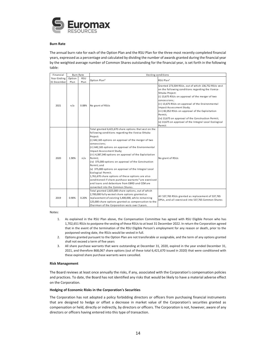

## **Burn Rate**

The annual burn rate for each of the Option Plan and the RSU Plan for the three most recently completed financial years, expressed as a percentage and calculated by dividing the number of awards granted during the financial year by the weighted average number of Common Shares outstanding for the financial year, is set forth in the following table:

| Financial   | <b>Burn Rate</b> |       | Vesting conditions                                                                                                                                                                                                                                                                                                                                                                                                                                                                                                                                                                                                                                                                                                               |                                                                                                                                                                                                                                                                                                                                                                                                                                                                                |
|-------------|------------------|-------|----------------------------------------------------------------------------------------------------------------------------------------------------------------------------------------------------------------------------------------------------------------------------------------------------------------------------------------------------------------------------------------------------------------------------------------------------------------------------------------------------------------------------------------------------------------------------------------------------------------------------------------------------------------------------------------------------------------------------------|--------------------------------------------------------------------------------------------------------------------------------------------------------------------------------------------------------------------------------------------------------------------------------------------------------------------------------------------------------------------------------------------------------------------------------------------------------------------------------|
| Year Ending | Option           | RSU   | Option Plan <sup>2</sup>                                                                                                                                                                                                                                                                                                                                                                                                                                                                                                                                                                                                                                                                                                         | RSU Plan <sup>1</sup>                                                                                                                                                                                                                                                                                                                                                                                                                                                          |
| 31 December | Plan             | Plan  |                                                                                                                                                                                                                                                                                                                                                                                                                                                                                                                                                                                                                                                                                                                                  |                                                                                                                                                                                                                                                                                                                                                                                                                                                                                |
| 2021        | n/a              | 0.08% | No grant of RSUs                                                                                                                                                                                                                                                                                                                                                                                                                                                                                                                                                                                                                                                                                                                 | Granted 273,504 RSUs, out of which 136,752 RSUs vest<br>on the following conditions regarding the Ilovica-<br>Shtuka Project:<br>(i) 13,675 RSUs on approval of the merger of two<br>concessions;<br>(ii) 13,675 RSUs on approval of the Environmental<br>Impact Assessment Study;<br>(iii) 82,052 RSUs on approval of the Exploitation<br>Permit;<br>(iv) 13,675 on approval of the Construction Permit;<br>(v) 13,675 on approval of the Integral Local Ecological<br>Permit |
| 2020        | 1.90%            | n/a   | Total granted 6,421,670 share options that vest on the<br>following conditions regarding the Ilovica-Shtuka<br>Project:<br>(i) 642,165 options on approval of the merger of two<br>concessions:<br>(ii) 642,165 options on approval of the Environmental<br>Impact Assessment Study;<br>(iii) 4,387,340 options on approval of the Exploitation<br>Permit;<br>(iv) 375,000 options on approval of the Construction<br>Permit; and<br>(v) 375,000 options on approval of the Integral Local<br>Ecological Permit.<br>1,761,670 share options of these options are also<br>conditioned if share purchase warrants <sup>3</sup> are exercised<br>and loans and debenture from EBRD and CCM are<br>converted into the Common Shares. | No grant of RSUs                                                                                                                                                                                                                                                                                                                                                                                                                                                               |
| 2019        | 0.90%            | 0.20% | Total granted 2,825,000 share options, out of which<br>2,700,000 fully vested share options granted as<br>replacement of existing 5,400,000, while remaining<br>125,000 share options granted as compensation to the<br>Chairman of the Corporation vests over 3 years.                                                                                                                                                                                                                                                                                                                                                                                                                                                          | All 537,765 RSUs granted as replacement of 537,765<br>DPUs, and all exercised into 537,765 Common Shares                                                                                                                                                                                                                                                                                                                                                                       |

Notes:

- 1. As explained in the RSU Plan above, the Compensation Committee has agreed with RSU Eligible Person who has 1,702,651 RSUs to postpone the vesting of these RSUs to at least 31 December 2022. In return the Corporation agreed that in the event of the termination of the RSU Eligible Person's employment for any reason or death, prior to the postponed vesting date, the RSUs would be vested in full.
- 2. Options granted pursuant to the Option Plan are not transferable or assignable, and the term of any options granted shall not exceed a term of five years
- 3. All share purchase warrants that were outstanding at December 31, 2020, expired in the year ended December 31, 2021, and therefore 868,067 share options (out of these total 6,421,670 issued in 2020) that were conditioned with these expired share purchase warrants were cancelled.

#### **Risk Management**

The Board reviews at least once annually the risks, if any, associated with the Corporation's compensation policies and practices. To date, the Board has not identified any risks that would be likely to have a material adverse effect on the Corporation.

## **Hedging of Economic Risks in the Corporation's Securities**

The Corporation has not adopted a policy forbidding directors or officers from purchasing financial instruments that are designed to hedge or offset a decrease in market value of the Corporation's securities granted as compensation or held, directly or indirectly, by directors or officers. The Corporation is not, however, aware of any directors or officers having entered into this type of transaction.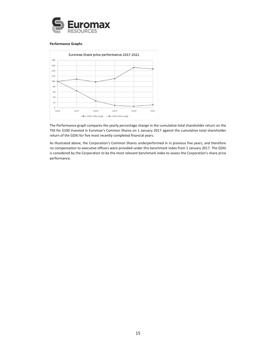

#### **Performance Graphs**



The Performance graph compares the yearly percentage change in the cumulative total shareholder return on the TSX for \$100 invested in Euromax's Common Shares on 1 January 2017 against the cumulative total shareholder return of the GDXJ for five most recently completed financial years.

As illustrated above, the Corporation's Common Shares underperformed in in previous five years, and therefore no compensation to executive officers were provided under this benchmark index from 1 January 2017. The GDXJ is considered by the Corporation to be the most relevant benchmark index to assess the Corporation's share price performance.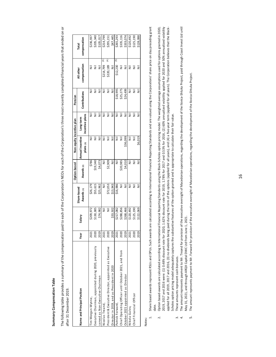# Summary Compensation Table **Summary Compensation Table**

The following table provides a summary of the compensation paid to each of the Corporation's NEOs for each of the Corporation's three most recently completed financial years that ended on or The following table provides a summary of the compensation paid to each of the Corporation's NEOs for each of the Corporation's three most recently completed financial years that ended on or after 31 December 2019. after 31 December 2019.

|                                                        |      |                           |                           | Option-based    | Non-equity incentive plan     |                              | Pension              |                            |                                     |
|--------------------------------------------------------|------|---------------------------|---------------------------|-----------------|-------------------------------|------------------------------|----------------------|----------------------------|-------------------------------------|
| Name and Principal Position                            | Year | Salary                    | Share-based<br>Awards (1) | Awards (2)      | Annual incentive<br>plans (3) | incentive plans<br>Long-term | <b>Contributions</b> | compensation<br>All other  | compensation<br>Total               |
| Tim Morgan-Wynne,                                      | 2021 | \$209,972                 | \$26,179                  | \$786           | $\bar{\bar{z}}$               | Ξ                            |                      |                            | \$236,937                           |
| Executive Chairman, appointed during 2020, previously  | 2020 | \$130,385                 | \$55,615                  | \$19,340        |                               | Ξ                            |                      |                            |                                     |
| served as Non-Executive Chairman                       | 2019 | \$74,982                  | \$25,962                  | \$4,073         |                               | ä                            |                      |                            |                                     |
| Nicolas Treand,                                        | 2021 | $\bar{\bar{z}}$           | E                         | $\bar{\bar{z}}$ |                               | Ξ                            |                      | €<br>\$214,799             | \$205,340<br>\$105,017<br>\$214,799 |
| President & Executive Director, appointed as Executive | 2020 | $\overline{\overline{z}}$ | \$72,053                  | \$2,909         |                               | Ξ                            |                      | €<br>\$220,189             | \$295,151                           |
| Director in 2019, and as President in 2020             | 2019 | \$33,502                  | \$13,943                  | $\bar{z}$       |                               | Ę                            | $\bar{\bar{z}}$      | $\bar{z}$                  |                                     |
| Patrick Forward,                                       | 2021 | \$217,082                 | \$16,986                  |                 |                               | ₹                            | \$18,995             | $\overline{6}$<br>\$12,230 | \$47,445                            |
| Chief Operating Officer until October 2021, and from   | 2020 | \$288,856                 |                           | \$20,985        | $\bar{\bar{z}}$               | $\bar{\bar{z}}$              | \$25,275             |                            | \$335,116                           |
| October 2021 appointed as Director                     | 2019 | \$268,466                 | Ë                         | \$4,010         | \$36,099                      | Ë                            | \$24,499             | $\bar{z}$                  | \$333,074                           |
| Nikola Gulev,                                          | 2021 | \$120,492                 |                           | Ξ               | Ξ                             | Ξ                            |                      |                            | \$120,492                           |
| Chief Financial Officer                                | 2020 | \$125,190                 |                           |                 | $\bar{\bar{z}}$               | $\bar{\bar{z}}$              |                      |                            | \$125,190                           |
|                                                        | 2019 | \$122,069                 |                           |                 | \$6,019                       |                              |                      |                            | \$128,088                           |

Notes:

- Share based awards represent RSUs and DPUs. Such awards are calculated according to International Financial Reporting Standards and are valued using the Corporations' share price on day preceding grant 1. Share based awards represent RSUs and DPUs. Such awards are calculated according to International Financial Reporting Standards and are valued using the Corporations' share price on day preceding grant date.  $\overline{a}$
- 2. Option based-awards are calculated according to International Financial Reporting Standards using the Black-Scholes option pricing model. The weighted average assumptions used for options granted in 2020, 2019, 2017 and 2016 were: (1) 0.48% discount rate for 2020, 1.62% discount rate for 2019, 1.78% for 2017 and 0.53% for 2016, (2) 60% annualized volatility applied for 2020 and 50% annualized volatility 2019, 2017 and 2016 were: (1) 0.48% discount rate for 2020, 1.62% discount rate for 2019, 1.78% for 2017 and 0.53% for 2016, (2) 60% annualized volatility applied for 2020 and 50% annualized volatility applied for all 2019, 2017 and 2016, (3) no dividends being paid during the term of the options (applied or all years), and (4) a five-year term (applied for all years). The Corporation believes that the Black-Option based-awards are calculated according to International Financial Reporting Standards using the Black-Scholes option pricing model. The weighted average assumptions used for options granted in 2020, applied for all 2019, 2016, (3) no dividends being paid during the term of the options (applied for all years), and (4) a five-year term (applied for all years). The Corporation believes that the Black-Scholes option pricing model adequately captures the substantive features of the option granted and is appropriate to calculate their fair value. Scholes option pricing model adequately captures the substantive features of the option granted and is appropriate to calculate their fair value.  $\overline{a}$ 
	- These amounts represent cash bonuses. 3. These amounts represent cash bonuses.
	- The amount represents payment to Mr. Treand for provision of the executive oversight of Macedonian operations, regarding the development of the llovica-Shtuka Project, paid through Coast Invest Ltd until 4. The amount represent to Mr. Treand for provision of the executive oversight of Macedonian operations, regarding the development of the Ilovica-Shtuka Project, paid through Coast Induntil May 31, 2021, and through ARQX Capital DWC Ltd from June 1, 2021. May 31, 2021, and through ARQX Capital DWC Ltd from June 1, 2021.  $m \dot{4}$
- The amount represents payment to Mr. Forward for provision of the executive oversight of Macedonian operations, regarding the development of the llovica-Shtuka Project. 5. The amount represents payment to Mr. Forward for provision of the executive oversight of Macedonian operations, regarding the development of the Ilovica-Shtuka Project.  $\ddot{ }$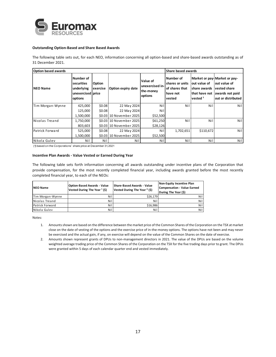

## **Outstanding Option-Based and Share Based Awards**

The following table sets out, for each NEO, information concerning all option-based and share-based awards outstanding as of 31 December 2021.

| <b>Option based awards</b> |                                                                       |                    |                           |                                                     | <b>Share based awards</b>                                            |                                                                      |                                                                                                              |
|----------------------------|-----------------------------------------------------------------------|--------------------|---------------------------|-----------------------------------------------------|----------------------------------------------------------------------|----------------------------------------------------------------------|--------------------------------------------------------------------------------------------------------------|
| <b>NEO Name</b>            | Number of<br>securities<br>underlying<br>unexercised price<br>options | Option<br>exercise | Option expiry date        | Value of<br>unexercised in-<br>the-money<br>options | Number of<br>shares or units<br>of shares that<br>have not<br>vested | out value of<br>share awards<br>that have not<br>vested <sup>1</sup> | Market or pay-Market or pay-<br>out value of<br><b>vested share</b><br>awards not paid<br>out or distributed |
| Tim Morgan-Wynne           | 425,000                                                               | \$0.08             | 22 May 2024               | Nill                                                | Nil                                                                  | Nil                                                                  | Nil I                                                                                                        |
|                            | 125,000                                                               | \$0.08             | 22 May 2024               | Nil                                                 |                                                                      |                                                                      |                                                                                                              |
|                            | 1,500,000                                                             |                    | \$0.03 10 November 2025   | \$52,500                                            |                                                                      |                                                                      |                                                                                                              |
| Nicolas Treand             | 1,750,000                                                             |                    | \$0.03   10 November 2025 | \$61,250                                            | Nil                                                                  | Nil                                                                  | Nil I                                                                                                        |
|                            | 803,603                                                               |                    | \$0.03 10 November 2025   | \$28,126                                            |                                                                      |                                                                      |                                                                                                              |
| Patrick Forward            | 525,000                                                               | \$0.08             | 22 May 2024               | <b>Nil</b>                                          | 1,702,651                                                            | \$110,672                                                            | Nil l                                                                                                        |
|                            | 1,500,000                                                             |                    | \$0.03 10 November 2025   | \$52,500                                            |                                                                      |                                                                      |                                                                                                              |
| Nikola Gulev               | Nil                                                                   | Nil                | Nil                       | Nil                                                 | Nil                                                                  | Nil                                                                  | Nil I                                                                                                        |

(1) based on the Corporations' share price at December 31, 2021

#### **Incentive Plan Awards - Value Vested or Earned During Year**

The following table sets forth information concerning all awards outstanding under incentive plans of the Corporation that provide compensation, for the most recently completed financial year, including awards granted before the most recently completed financial year, to each of the NEOs:

| <b>NEO Name</b>  | <b>Option-Based Awards - Value</b><br>Vested During The Year <sup>1</sup> (\$) | Share-Based Awards - Value<br>Vested During The Year <sup>2</sup> (\$) | Non-Equity Incentive Plan<br>Compensation - Value Earned<br>During The Year (\$) |
|------------------|--------------------------------------------------------------------------------|------------------------------------------------------------------------|----------------------------------------------------------------------------------|
| Tim Morgan-Wynne | Nil                                                                            | \$26.179                                                               | Nill                                                                             |
| Nicolas Treand   | Nil                                                                            | Nil                                                                    | <b>Nil</b>                                                                       |
| Patrick Forward  | Nil                                                                            | \$16.986                                                               | Nil                                                                              |
| Nikola Gulev     | Nil                                                                            | Nil                                                                    | Nil                                                                              |

Notes:

- 1. Amounts shown are based on the difference between the market price of the Common Shares of the Corporation on the TSX at market close on the date of vesting of the options and the exercise price of in-the-money options. The options have not been and may never be exercised and the actual gain, if any, on exercise will depend on the value of the Common Shares on the date of exercise.
- 2. Amounts shown represent grants of DPUs to non-management directors in 2021. The value of the DPUs are based on the volume weighted average trading price of the Common Shares of the Corporation on the TSX for the five trading days prior to grant. The DPUs were granted within 5 days of each calendar quarter end and vested immediately.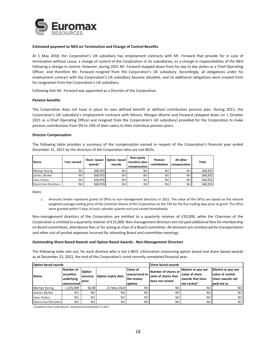

## **Estimated payment to NEO on Termination and Change of Control Benefits**

At 1 May 2018, the Corporation's UK subsidiary has employment contracts with Mr. Forward that provide for in case of termination without cause, a change of control of the Corporation or its subsidiaries, or a change in responsibilities of the NEO following a change in control. However, during 2021 Mr. Forward stepped down from his day to day duties as a Chief Operating Officer, and therefore Mr. Forward resigned from the Corporation's UK subsidiary. Accordingly, all obligations under his employment contract with the Corporation's UK subsidiary became obsolete, and no additional obligations were created from his resignation from the Corporation's UK subsidiary.

Following that Mr. Forward was appointed as a Director of the Corporation.

#### **Pension benefits**

The Corporation does not have in place its own defined benefit or defined contribution pension plan. During 2021, the Corporation's UK subsidiary's employment contracts with Messrs. Morgan-Wynne and Forward (stepped down on 1 October 2021 as a Chief Operating Officer and resigned from the Corporation's UK subsidiary) provided for the Corporation to make pension contributions from 0% to 10% of their salary to their individual pension plans.

#### **Director Compensation**

The following table provides a summary of the compensation earned in respect of the Corporation's financial year ended December 31, 2021 by the directors of the Corporation who are not NEOs.

| Name                     | <b>Fees earned</b> | Share-based<br>awards <sup>1</sup> | Option-based<br>awards | Non-equity<br>incentive plan I<br>compensation | Pension<br>contributions | All other<br>compensation | <b>Total</b> |
|--------------------------|--------------------|------------------------------------|------------------------|------------------------------------------------|--------------------------|---------------------------|--------------|
| Martyn Konig             | Nil                | \$68,955                           | Nill                   | Nil                                            | <b>Nili</b>              | Nil                       | \$68,955     |
| James Burke              | Nil                | \$68.955                           | <b>Nill</b>            | Nil                                            | Nil                      | Nil                       | \$68,955     |
| Ivan Vutov               | Nil                | \$68,955                           | <b>Nill</b>            | <b>Nili</b>                                    | Nil                      | Nil                       | \$68.955     |
| <b>Stanislay Delchey</b> | Nil                | \$68,955                           | <b>Nill</b>            | Nil                                            | Nil                      | Nil                       | \$68,955     |

Notes:

1. Amounts shown represent grants of DPUs to non-management directors in 2021. The value of the DPUs are based on the volume weighted average trading price of the Common Shares of the Corporation on the TSX for the five trading days prior to grant. The DPUs were granted within 5 days of each calendar quarter end and vested immediately.

Non-management directors of the Corporation are entitled to a quarterly retainer of £10,000, while the Chairman of the Corporation is entitled to a quarterly retainer of £15,000. Non-management directors are not paid additional fees for membership on Board committees, attendance fees or for acting as chair of a Board committee. All directors are reimbursed for transportation and other out-of-pocket expenses incurred for attending Board and committee meetings.

## **Outstanding Share Based Awards and Option Based Awards - Non-Management Directors**

The following table sets out, for each director who is not a NEO, information concerning option based and share-based awards as at December 31, 2021, the end of the Corporation's most recently completed financial year.

| <b>Option based awards</b> |                                                      |                                                   |                    |                                                     | Share based awards                                             |                                                                                             |                                                                          |  |
|----------------------------|------------------------------------------------------|---------------------------------------------------|--------------------|-----------------------------------------------------|----------------------------------------------------------------|---------------------------------------------------------------------------------------------|--------------------------------------------------------------------------|--|
| Name                       | Number of<br>securities<br>underlying<br>unexercised | <b>Option</b><br><b>lexercise</b><br><b>price</b> | Option expiry date | Value of<br>unexercised in-<br>the-money<br>options | Number of shares or<br>units of shares that<br>have not vested | Market or pay-out<br><b>value of share</b><br>lawards that have<br>Inot vested <sup>1</sup> | Market or pay-out<br>value of vested<br>Ishare awards not<br>paid out or |  |
| Martyn Konig               | 1,225,000                                            | \$0.08                                            | 22 May 2024        | Nil                                                 | Nil                                                            | Nil                                                                                         | Nil                                                                      |  |
| James Burke                | Nil                                                  | Nil                                               | Nil                | Nill                                                | Nil                                                            | Nil                                                                                         | Ni l                                                                     |  |
| Ivan Vutov                 | Ni                                                   | Nil                                               | Nil                | <b>Nil</b>                                          | Ni l                                                           | Nil                                                                                         | Nil                                                                      |  |
| Stanislav Delchev          | Nil                                                  | Nil                                               | Nil                | Nil                                                 | Nil                                                            | Nil                                                                                         | Nil                                                                      |  |

(1) based on the Corporations' share price at December 31, 2021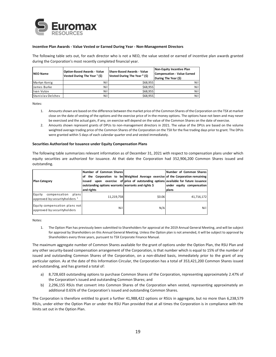

## **Incentive Plan Awards - Value Vested or Earned During Year - Non-Management Directors**

The following table sets out, for each director who is not a NEO, the value vested or earned of incentive plan awards granted during the Corporation's most recently completed financial year.

| <b>NEO Name</b>   | <b>Option-Based Awards - Value</b><br>Vested During The Year <sup>1</sup> (\$) | <b>Share-Based Awards - Value</b><br>Vested During The Year <sup>2</sup> (\$) | Non-Equity Incentive Plan<br>Compensation - Value Earned<br>During The Year (\$) |
|-------------------|--------------------------------------------------------------------------------|-------------------------------------------------------------------------------|----------------------------------------------------------------------------------|
| Martyn Konig      | Nil                                                                            | \$68.955                                                                      | Nil I                                                                            |
| James Burke       | Nil                                                                            | \$68.955                                                                      | Nil I                                                                            |
| Ivan Vutov        | Nil                                                                            | \$68,955                                                                      | Nil I                                                                            |
| Stanislav Delchev | Nil                                                                            | \$68,955                                                                      | Nil I                                                                            |

Notes:

- 1. Amounts shown are based on the difference between the market price of the Common Shares of the Corporation on the TSX at market close on the date of vesting of the options and the exercise price of in-the-money options. The options have not been and may never be exercised and the actual gain, if any, on exercise will depend on the value of the Common Shares on the date of exercise.
- 2. Amounts shown represent grants of DPUs to non-management directors in 2021. The value of the DPUs are based on the volume weighted average trading price of the Common Shares of the Corporation on the TSX for the five trading days prior to grant. The DPUs were granted within 5 days of each calendar quarter end and vested immediately.

#### **Securities Authorized for Issuance under Equity Compensation Plans**

The following table summarizes relevant information as of December 31, 2021 with respect to compensation plans under which equity securities are authorized for issuance. At that date the Corporation had 352,906,200 Common Shares issued and outstanding.

| <b>Plan Category</b>                                                         | Number of Common Shares<br>of the Corporation to be Weighted Average exercise of the Corporation remaining<br>issued upon exercise of price of outstanding options available for future issuance<br>outstanding options warrants warrants and rights \$<br>and rights |        | Number of Common Shares<br>under equity compensation<br>plans |
|------------------------------------------------------------------------------|-----------------------------------------------------------------------------------------------------------------------------------------------------------------------------------------------------------------------------------------------------------------------|--------|---------------------------------------------------------------|
| Equity<br>compensation<br>plans<br>approved by security holders <sup>1</sup> | 11,219,758                                                                                                                                                                                                                                                            | \$0.06 | 41,716,172                                                    |
| Equity compensation plans not<br>approved by security holders                | Nil                                                                                                                                                                                                                                                                   | N/A    | Nil                                                           |

Notes:

1. The Option Plan has previously been submitted to Shareholders for approval at the 2019 Annual General Meeting, and will be subject for approval by Shareholders on this Annual General Meeting. Unless the Option plan is not amended, it will be subject to approval by Shareholders every three years, pursuant to TSX Corporate Finance Manual.

The maximum aggregate number of Common Shares available for the grant of options under the Option Plan, the RSU Plan and any other security-based compensation arrangement of the Corporation, is that number which is equal to 15% of the number of issued and outstanding Common Shares of the Corporation, on a non-diluted basis, immediately prior to the grant of any particular option. As at the date of this Information Circular, the Corporation has a total of 353,421,200 Common Shares issued and outstanding, and has granted a total of:

- a) 8,728,603 outstanding options to purchase Common Shares of the Corporation, representing approximately 2.47% of the Corporation's issued and outstanding Common Shares; and
- b) 2,296,155 RSUs that convert into Common Shares of the Corporation when vested, representing approximately an additional 0.65% of the Corporation's issued and outstanding Common Shares.

The Corporation is therefore entitled to grant a further 41,988,422 options or RSUs in aggregate, but no more than 6,238,579 RSUs, under either the Option Plan or under the RSU Plan provided that at all times the Corporation is in compliance with the limits set out in the Option Plan.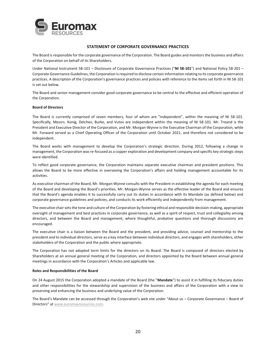

# **STATEMENT OF CORPORATE GOVERNANCE PRACTICES**

The Board is responsible for the corporate governance of the Corporation. The Board guides and monitors the business and affairs of the Corporation on behalf of its Shareholders.

Under National Instrument 58-101 – Disclosure of Corporate Governance Practices ("**NI 58-101**") and National Policy 58-201 – Corporate Governance Guidelines, the Corporation is required to disclose certain information relating to its corporate governance practices. A description of the Corporation's governance practices and policies with reference to the items set forth in NI 58-101 is set out below.

The Board and senior management consider good corporate governance to be central to the effective and efficient operation of the Corporation.

## **Board of Directors**

The Board is currently comprised of seven members, four of whom are "independent", within the meaning of NI 58-101. Specifically, Messrs. Konig, Delchev, Burke, and Vutov are independent within the meaning of NI 58-101. Mr. Treand is the President and Executive Director of the Corporation, and Mr. Morgan-Wynne is the Executive Chairman of the Corporation, while Mr. Forward served as a Chief Operating Officer of the Corporation until October 2021, and therefore not considered to be independent.

The Board works with management to develop the Corporation's strategic direction. During 2012, following a change in management, the Corporation was re-focused as a copper exploration and development company and specific key strategic steps were identified.

To reflect good corporate governance, the Corporation maintains separate executive chairman and president positions. This allows the Board to be more effective in overseeing the Corporation's affairs and holding management accountable for its activities.

As executive chairman of the Board, Mr. Morgan-Wynne consults with the President in establishing the agenda for each meeting of the Board and developing the Board's priorities. Mr. Morgan-Wynne serves as the effective leader of the Board and ensures that the Board's agenda enables it to successfully carry out its duties in accordance with its Mandate (as defined below) and corporate governance guidelines and policies, and conducts its work efficiently and independently from management.

The executive chair sets the tone and culture of the Corporation by fostering ethical and responsible decision-making, appropriate oversight of management and best practices in corporate governance, as well as a spirit of respect, trust and collegiality among directors, and between the Board and management, where thoughtful, probative questions and thorough discussions are encouraged.

The executive chair is a liaison between the Board and the president, and providing advice, counsel and mentorship to the president and to individual directors, serve as a key interface between individual directors, and engages with shareholders, other stakeholders of the Corporation and the public where appropriate.

The Corporation has not adopted term limits for the directors on its Board. The Board is composed of directors elected by Shareholders at an annual general meeting of the Corporation, and directors appointed by the Board between annual general meetings in accordance with the Corporation's Articles and applicable law.

## **Roles and Responsibilities of the Board**

On 24 August 2015 the Corporation adopted a mandate of the Board (the "**Mandate**") to assist it in fulfilling its fiduciary duties and other responsibilities for the stewardship and supervision of the business and affairs of the Corporation with a view to preserving and enhancing the business and underlying value of the Corporation.

The Board's Mandate can be accessed through the Corporation's web site under "About us – Corporate Governance – Board of Directors" at www.euromaxresources.com.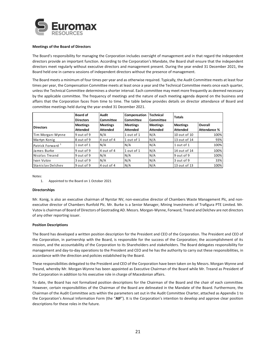

## **Meetings of the Board of Directors**

The Board's responsibility for managing the Corporation includes oversight of management and in that regard the independent directors provide an important function. According to the Corporation's Mandate, the Board shall ensure that the independent directors meet regularly without executive directors and management present. During the year ended 31 December 2021, the Board held one in camera sessions of independent directors without the presence of management.

The Board meets a minimum of four times per year and as otherwise required. Typically, the Audit Committee meets at least four times per year, the Compensation Committee meets at least once a year and the Technical Committee meets once each quarter, unless the Technical Committee determines a shorter interval. Each committee may meet more frequently as deemed necessary by the applicable committee. The frequency of meetings and the nature of each meeting agenda depend on the business and affairs that the Corporation faces from time to time. The table below provides details on director attendance of Board and committee meetings held during the year ended 31 December 2021.

|                              | <b>Board of</b><br><b>Directors</b> | Audit<br>Committee | Compensation<br>Committee | <b>Technical</b><br><b>Committee</b> | <b>Totals</b>   |                     |
|------------------------------|-------------------------------------|--------------------|---------------------------|--------------------------------------|-----------------|---------------------|
| <b>Directors</b>             | <b>Meetings</b>                     | <b>Meetings</b>    | <b>Meetings</b>           | <b>Meetings</b>                      | <b>Meetings</b> | <b>Overall</b>      |
|                              | <b>Attended</b>                     | <b>Attended</b>    | <b>Attended</b>           | <b>Attended</b>                      | <b>Attended</b> | <b>Attendance %</b> |
| Tim Morgan-Wynne             | 9 out of 9                          | N/A                | 1 out of 1                | N/A                                  | 10 out of 10    | 100%                |
| Martyn Konig                 | 8 out of 9                          | 4 out of 4         | 1 out of 1                | N/A                                  | 13 out of 14    | 93%                 |
| Patrick Forward <sup>1</sup> | 1 out of 1                          | N/A                | N/A                       | N/A                                  | 1 out of 1      | 100%                |
| James Burke                  | 9 out of 9                          | 4 out of 4         | 1 out of 1                | N/A                                  | 14 out of 14    | 100%                |
| Nicolas Treand               | 9 out of 9                          | N/A                | N/A                       | N/A                                  | 9 out of 9      | 100%                |
| Ivan Vutov                   | 3 out of 9                          | N/A                | N/A                       | N/A                                  | 3 out of 9      | 33%                 |
| <b>Stanislay Delchev</b>     | 9 out of 9                          | 4 out of 4         | N/A                       | N/A                                  | 13 out of 13    | 100%                |

Notes:

## **Directorships**

Mr. Konig, is also an executive chairman of Nyrstar NV, non-executive director of Chambers Waste Management Plc, and nonexecutive director of Chambers Runfold Plc. Mr. Burke is a Senior Manager, Mining Investments of Trafigura PTE Limited. Mr. Vutov is chairman of Board of Directors of Geotrading AD. Messrs. Morgan-Wynne, Forward, Treand and Delchev are not directors of any other reporting issuer.

## **Position Descriptions**

The Board has developed a written position description for the President and CEO of the Corporation. The President and CEO of the Corporation, in partnership with the Board, is responsible for the success of the Corporation; the accomplishment of its mission, and the accountability of the Corporation to its Shareholders and stakeholders. The Board delegates responsibility for management and day-to-day operations to the President and CEO and he has the authority to carry out these responsibilities, in accordance with the direction and policies established by the Board.

These responsibilities delegated to the President and CEO of the Corporation have been taken on by Messrs. Morgan-Wynne and Treand, whereby Mr. Morgan-Wynne has been appointed as Executive Chairman of the Board while Mr. Treand as President of the Corporation in addition to his executive role in charge of Macedonian affairs.

To date, the Board has not formalized position descriptions for the Chairman of the Board and the chair of each committee. However, certain responsibilities of the Chairman of the Board are delineated in the Mandate of the Board. Furthermore, the Chairman of the Audit Committee acts within the parameters set out in the Audit Committee Charter, attached as Appendix 1 to the Corporation's Annual Information Form (the "**AIF**"). It is the Corporation's intention to develop and approve clear position descriptions for these roles in the future.

<sup>1.</sup> Appointed to the Board on 1 October 2021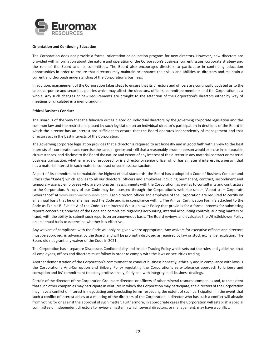

## **Orientation and Continuing Education**

The Corporation does not provide a formal orientation or education program for new directors. However, new directors are provided with information about the nature and operation of the Corporation's business, current issues, corporate strategy and the role of the Board and its committees. The Board also encourages directors to participate in continuing education opportunities in order to ensure that directors may maintain or enhance their skills and abilities as directors and maintain a current and thorough understanding of the Corporation's business.

In addition, management of the Corporation takes steps to ensure that its directors and officers are continually updated as to the latest corporate and securities policies which may affect the directors, officers, committee members and the Corporation as a whole. Any such changes or new requirements are brought to the attention of the Corporation's directors either by way of meetings or circulated in a memorandum.

## **Ethical Business Conduct**

The Board is of the view that the fiduciary duties placed on individual directors by the governing corporate legislation and the common law and the restrictions placed by such legislation on an individual director's participation in decisions of the Board in which the director has an interest are sufficient to ensure that the Board operates independently of management and that directors act in the best interests of the Corporation.

The governing corporate legislation provides that a director is required to act honestly and in good faith with a view to the best interests of a corporation and exercise the care, diligence and skill that a reasonably prudent person would exercise in comparable circumstances, and disclose to the Board the nature and extent of any interest of the director in any material contract or material business transaction, whether made or proposed, or is a director or senior officer of, or has a material interest in, a person that has a material interest in such material contract or business transaction.

As part of its commitment to maintain the highest ethical standards, the Board has a adopted a Code of Business Conduct and Ethics (the "**Code**") which applies to all our directors, officers and employees including permanent, contract, secondment and temporary agency employees who are on long term assignments with the Corporation, as well as to consultants and contractors to the Corporation. A copy of our Code may be accessed through the Corporation's web site under "About us – Corporate Governance" at www.euromaxresources.com. Each director, officer and employee of the Corporation are required to certify on an annual basis that he or she has read the Code and is in compliance with it. The Annual Certification Form is attached to the Code as Exhibit B. Exhibit A of the Code is the internal Whistleblower Policy that provides for a formal process for submitting reports concerning breaches of the Code and complaints regarding accounting, internal accounting controls, auditing matters or fraud, with the ability to submit such reports on an anonymous basis. The Board reviews and evaluates the Whistleblower Policy on an annual basis to determine whether it is effective.

Any waivers of compliance with the Code will only be given where appropriate. Any waivers for executive officers and directors must be approved, in advance, by the Board, and will be promptly disclosed as required by law or stock exchange regulation. The Board did not grant any waiver of the Code in 2021.

The Corporation has a separate Disclosure, Confidentiality and Insider Trading Policy which sets out the rules and guidelines that all employees, offices and directors must follow in order to comply with the laws on securities trading.

Another demonstration of the Corporation's commitment to conduct business honestly, ethically and in compliance with laws is the Corporation's Anti-Corruption and Bribery Policy regulating the Corporation's zero-tolerance approach to bribery and corruption and its' commitment to acting professionally, fairly and with integrity in all business dealings.

Certain of the directors of the Corporation Group are directors or officers of other mineral resource companies and, to the extent that such other companies may participate in ventures in which the Corporation may participate, the directors of the Corporation may have a conflict of interest in negotiating and concluding terms respecting the extent of such participation. In the event that such a conflict of interest arises at a meeting of the directors of the Corporation, a director who has such a conflict will abstain from voting for or against the approval of such matter. Furthermore, in appropriate cases the Corporation will establish a special committee of independent directors to review a matter in which several directors, or management, may have a conflict.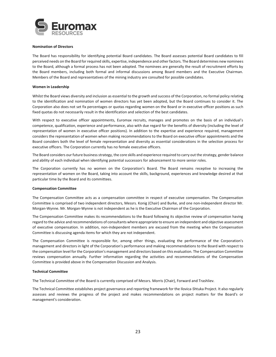

## **Nomination of Directors**

The Board has responsibility for identifying potential Board candidates. The Board assesses potential Board candidates to fill perceived needs on the Board for required skills, expertise, independence and other factors. The Board determines new nominees to the Board, although a formal process has not been adopted. The nominees are generally the result of recruitment efforts by the Board members, including both formal and informal discussions among Board members and the Executive Chairman. Members of the Board and representatives of the mining industry are consulted for possible candidates.

#### **Women in Leadership**

Whilst the Board views diversity and inclusion as essential to the growth and success of the Corporation, no formal policy relating to the identification and nomination of women directors has yet been adopted, but the Board continues to consider it. The Corporation also does not set fix percentages or quotas regarding women on the Board or in executive officer positions as such fixed quotas do not necessarily result in the identification and selection of the best candidates.

With respect to executive officer appointments, Euromax recruits, manages and promotes on the basis of an individual's competence, qualification, experience and performance, also with due regard for the benefits of diversity (including the level of representation of women in executive officer positions). In addition to the expertise and experience required, management considers the representation of women when making recommendations to the Board on executive officer appointments and the Board considers both the level of female representation and diversity as essential considerations in the selection process for executive officers. The Corporation currently has no female executive officers.

The Board considers our future business strategy, the core skills and experience required to carry out the strategy, gender balance and ability of each individual when identifying potential successors for advancement to more senior roles.

The Corporation currently has no women on the Corporation's Board. The Board remains receptive to increasing the representation of women on the Board, taking into account the skills, background, experiences and knowledge desired at that particular time by the Board and its committees.

#### **Compensation Committee**

The Compensation Committee acts as a compensation committee in respect of executive compensation. The Compensation Committee is comprised of two independent directors, Messrs. Konig (Chair) and Burke, and one non-independent director Mr. Morgan-Wynne. Mr. Morgan-Wynne is not independent as he is the Executive Chairman of the Corporation.

The Compensation Committee makes its recommendations to the Board following its objective review of compensation having regard to the advice and recommendations of consultants where appropriate to ensure an independent and objective assessment of executive compensation. In addition, non-independent members are excused from the meeting when the Compensation Committee is discussing agenda items for which they are not independent.

The Compensation Committee is responsible for, among other things, evaluating the performance of the Corporation's management and directors in light of the Corporation's performance and making recommendations to the Board with respect to the compensation level for the Corporation's management and directors based on this evaluation. The Compensation Committee reviews compensation annually. Further information regarding the activities and recommendations of the Compensation Committee is provided above in the Compensation Discussion and Analysis.

#### **Technical Committee**

The Technical Committee of the Board is currently comprised of Messrs. Morris (Chair), Forward and Trashliev.

The Technical Committee establishes project governance and reporting framework for the Ilovica-Shtuka Project. It also regularly assesses and reviews the progress of the project and makes recommendations on project matters for the Board's or management's consideration.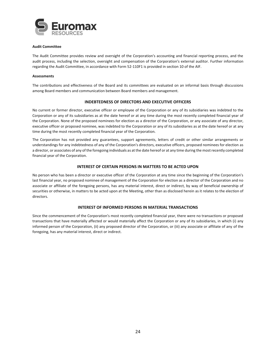

## **Audit Committee**

The Audit Committee provides review and oversight of the Corporation's accounting and financial reporting process, and the audit process, including the selection, oversight and compensation of the Corporation's external auditor. Further information regarding the Audit Committee, in accordance with Form 52-110F1 is provided in section 10 of the AIF.

## **Assessments**

The contributions and effectiveness of the Board and its committees are evaluated on an informal basis through discussions among Board members and communication between Board members and management.

## **INDEBTEDNESS OF DIRECTORS AND EXECUTIVE OFFICERS**

No current or former director, executive officer or employee of the Corporation or any of its subsidiaries was indebted to the Corporation or any of its subsidiaries as at the date hereof or at any time during the most recently completed financial year of the Corporation. None of the proposed nominees for election as a director of the Corporation, or any associate of any director, executive officer or proposed nominee, was indebted to the Corporation or any of its subsidiaries as at the date hereof or at any time during the most recently completed financial year of the Corporation.

The Corporation has not provided any guarantees, support agreements, letters of credit or other similar arrangements or understandings for any indebtedness of any of the Corporation's directors, executive officers, proposed nominees for election as a director, or associates of any of the foregoing individuals as at the date hereof or at any time during the most recently completed financial year of the Corporation.

## **INTEREST OF CERTAIN PERSONS IN MATTERS TO BE ACTED UPON**

No person who has been a director or executive officer of the Corporation at any time since the beginning of the Corporation's last financial year, no proposed nominee of management of the Corporation for election as a director of the Corporation and no associate or affiliate of the foregoing persons, has any material interest, direct or indirect, by way of beneficial ownership of securities or otherwise, in matters to be acted upon at the Meeting, other than as disclosed herein as it relates to the election of directors.

# **INTEREST OF INFORMED PERSONS IN MATERIAL TRANSACTIONS**

Since the commencement of the Corporation's most recently completed financial year, there were no transactions or proposed transactions that have materially affected or would materially affect the Corporation or any of its subsidiaries, in which (i) any informed person of the Corporation, (ii) any proposed director of the Corporation, or (iii) any associate or affiliate of any of the foregoing, has any material interest, direct or indirect.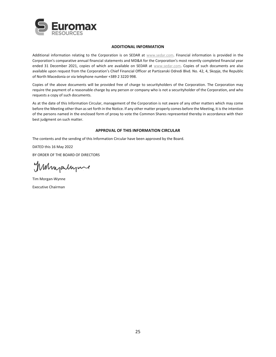

# **ADDITIONAL INFORMATION**

Additional information relating to the Corporation is on SEDAR at www.sedar.com. Financial information is provided in the Corporation's comparative annual financial statements and MD&A for the Corporation's most recently completed financial year ended 31 December 2021, copies of which are available on SEDAR at www.sedar.com. Copies of such documents are also available upon request from the Corporation's Chief Financial Officer at Partizanski Odredi Blvd. No. 42, 4, Skopje, the Republic of North Macedonia or via telephone number +389 2 3220 998.

Copies of the above documents will be provided free of charge to securityholders of the Corporation. The Corporation may require the payment of a reasonable charge by any person or company who is not a securityholder of the Corporation, and who requests a copy of such documents.

As at the date of this Information Circular, management of the Corporation is not aware of any other matters which may come before the Meeting other than as set forth in the Notice. If any other matter properly comes before the Meeting, it is the intention of the persons named in the enclosed form of proxy to vote the Common Shares represented thereby in accordance with their best judgment on such matter.

# **APPROVAL OF THIS INFORMATION CIRCULAR**

The contents and the sending of this Information Circular have been approved by the Board.

DATED this 16 May 2022 BY ORDER OF THE BOARD OF DIRECTORS

Manjaranne

Tim Morgan-Wynne Executive Chairman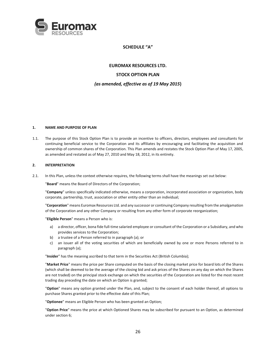

# **SCHEDULE "A"**

**EUROMAX RESOURCES LTD. STOCK OPTION PLAN**  *(as amended, effective as of 19 May 2015***)** 

# **1. NAME AND PURPOSE OF PLAN**

1.1. The purpose of this Stock Option Plan is to provide an incentive to officers, directors, employees and consultants for continuing beneficial service to the Corporation and its affiliates by encouraging and facilitating the acquisition and ownership of common shares of the Corporation. This Plan amends and restates the Stock Option Plan of May 17, 2005, as amended and restated as of May 27, 2010 and May 18, 2012, in its entirety.

## **2. INTERPRETATION**

2.1. In this Plan, unless the context otherwise requires, the following terms shall have the meanings set out below:

"**Board**" means the Board of Directors of the Corporation;

"**Company**" unless specifically indicated otherwise, means a corporation, incorporated association or organization, body corporate, partnership, trust, association or other entity other than an individual;

"**Corporation**" means Euromax Resources Ltd. and any successor or continuing Company resulting from the amalgamation of the Corporation and any other Company or resulting from any other form of corporate reorganization;

"**Eligible Person**" means a Person who is:

- a) a director, officer, bona fide full-time salaried employee or consultant of the Corporation or a Subsidiary, and who provides services to the Corporation;
- b) a trustee of a Person referred to in paragraph (a); or
- c) an issuer all of the voting securities of which are beneficially owned by one or more Persons referred to in paragraph (a);

"**Insider**" has the meaning ascribed to that term in the Securities Act (British Columbia);

"**Market Price**" means the price per Share computed on the basis of the closing market price for board lots of the Shares (which shall be deemed to be the average of the closing bid and ask prices of the Shares on any day on which the Shares are not traded) on the principal stock exchange on which the securities of the Corporation are listed for the most recent trading day preceding the date on which an Option is granted;

"**Option**" means any option granted under the Plan, and, subject to the consent of each holder thereof, all options to purchase Shares granted prior to the effective date of this Plan;

"**Optionee**" means an Eligible Person who has been granted an Option;

"**Option Price**" means the price at which Optioned Shares may be subscribed for pursuant to an Option, as determined under section 6;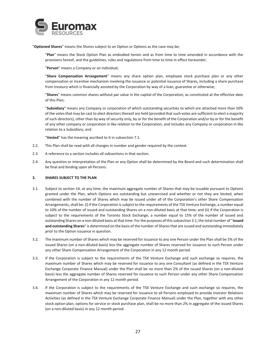

"**Optioned Shares**" means the Shares subject to an Option or Options as the case may be;

"**Plan**" means the Stock Option Plan as embodied herein and as from time to time amended in accordance with the provisions hereof, and the guidelines, rules and regulations from time to time in effect hereunder;

"**Person**" means a Company or an individual;

"**Share Compensation Arrangement**" means any share option plan, employee stock purchase plan or any other compensation or incentive mechanism involving the issuance or potential issuance of Shares, including a share purchase from treasury which is financially assisted by the Corporation by way of a loan, guarantee or otherwise;

"**Shares**" means common shares without par value in the capital of the Corporation, as constituted at the effective date of this Plan;

"**Subsidiary**" means any Company or corporation of which outstanding securities to which are attached more than 50% of the votes that may be cast to elect directors thereof are held (provided that such votes are sufficient to elect a majority of such directors), other than by way of security only, by or for the benefit of the Corporation and/or by or for the benefit of any other company or corporation in like relation to the Corporation, and includes any Company or corporation in like relation to a Subsidiary; and

"**Vested**" has the meaning ascribed to it in subsection 7.1.

- 2.2. This Plan shall be read with all changes in number and gender required by the context.
- 2.3. A reference to a section includes all subsections in that section.
- 2.4. Any question or interpretation of the Plan or any Option shall be determined by the Board and such determination shall be final and binding upon all Persons.

## **3. SHARES SUBJECT TO THE PLAN**

- 3.1. Subject to section 14, at any time, the maximum aggregate number of Shares that may be issuable pursuant to Options granted under the Plan, which Options are outstanding but unexercised and whether or not they are Vested, when combined with the number of Shares which may be issued under all of the Corporation's other Share Compensation Arrangements, shall be: (i) if the Corporation is subject to the requirements of the TSX Venture Exchange, a number equal to 10% of the number of issued and outstanding Shares on a non-diluted basis at that time; and (ii) if the Corporation is subject to the requirements of the Toronto Stock Exchange, a number equal to 15% of the number of issued and outstanding Shares on a non-diluted basis at that time. For the purposes of this subsection 3.1, the total number of "**issued and outstanding Shares**" is determined on the basis of the number of Shares that are issued and outstanding immediately prior to the Option issuance in question.
- 3.2. The maximum number of Shares which may be reserved for issuance to any one Person under the Plan shall be 5% of the issued Shares (on a non-diluted basis) less the aggregate number of Shares reserved for issuance to such Person under any other Share Compensation Arrangement of the Corporation in any 12 month period.
- 3.3. If the Corporation is subject to the requirements of the TSX Venture Exchange and such exchange so requires, the maximum number of Shares which may be reserved for issuance to any one Consultant (as defined in the TSX Venture Exchange Corporate Finance Manual) under the Plan shall be no more than 2% of the issued Shares (on a non-diluted basis) less the aggregate number of Shares reserved for issuance to such Person under any other Share Compensation Arrangement of the Corporation in any 12 month period.
- 3.4. If the Corporation is subject to the requirements of the TSX Venture Exchange and such exchange so requires, the maximum number of Shares which may be reserved for issuance to all Persons employed to provide Investor Relations Activities (as defined in the TSX Venture Exchange Corporate Finance Manual) under the Plan, together with any other stock option plan, options for service or stock purchase plan, shall be no more than 2% in aggregate of the issued Shares (on a non-diluted basis) in any 12 month period.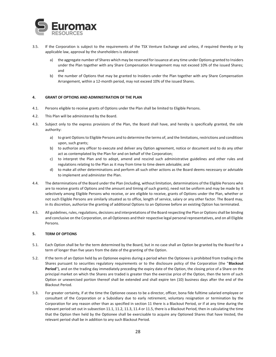

- 3.5. If the Corporation is subject to the requirements of the TSX Venture Exchange and unless, if required thereby or by applicable law, approval by the shareholders is obtained:
	- a) the aggregate number of Shares which may be reserved for issuance at any time under Options granted to Insiders under the Plan together with any Share Compensation Arrangement may not exceed 10% of the issued Shares; and
	- b) the number of Options that may be granted to Insiders under the Plan together with any Share Compensation Arrangement, within a 12-month period, may not exceed 10% of the issued Shares.

## **4. GRANT OF OPTIONS AND ADMINISTRATION OF THE PLAN**

- 4.1. Persons eligible to receive grants of Options under the Plan shall be limited to Eligible Persons.
- 4.2. This Plan will be administered by the Board.
- 4.3. Subject only to the express provisions of the Plan, the Board shall have, and hereby is specifically granted, the sole authority:
	- a) to grant Options to Eligible Persons and to determine the terms of, and the limitations, restrictions and conditions upon, such grants;
	- b) to authorize any officer to execute and deliver any Option agreement, notice or document and to do any other act as contemplated by the Plan for and on behalf of the Corporation;
	- c) to interpret the Plan and to adopt, amend and rescind such administrative guidelines and other rules and regulations relating to the Plan as it may from time to time deem advisable; and
	- d) to make all other determinations and perform all such other actions as the Board deems necessary or advisable to implement and administer the Plan.
- 4.4. The determinations of the Board under the Plan (including, without limitation, determinations of the Eligible Persons who are to receive grants of Options and the amount and timing of such grants), need not be uniform and may be made by it selectively among Eligible Persons who receive, or are eligible to receive, grants of Options under the Plan, whether or not such Eligible Persons are similarly situated as to office, length of service, salary or any other factor. The Board may, in its discretion, authorize the granting of additional Options to an Optionee before an existing Option has terminated.
- 4.5. All guidelines, rules, regulations, decisions and interpretations of the Board respecting the Plan or Options shall be binding and conclusive on the Corporation, on all Optionees and their respective legal personal representatives, and on all Eligible Persons.

# **5. TERM OF OPTIONS**

- 5.1. Each Option shall be for the term determined by the Board, but in no case shall an Option be granted by the Board for a term of longer than five years from the date of the granting of the Option.
- 5.2. If the term of an Option held by an Optionee expires during a period when the Optionee is prohibited from trading in the Shares pursuant to securities regulatory requirements or to the disclosure policy of the Corporation (the "**Blackout Period**"), and on the trading day immediately preceding the expiry date of the Option, the closing price of a Share on the principal market on which the Shares are traded is greater than the exercise price of the Option, then the term of such Option or unexercised portion thereof shall be extended and shall expire ten (10) business days after the end of the Blackout Period.
- 5.3. For greater certainty, if at the time the Optionee ceases to be a director, officer, bona fide fulltime salaried employee or consultant of the Corporation or a Subsidiary due to early retirement, voluntary resignation or termination by the Corporation for any reason other than as specified in section 11 there is a Blackout Period, or if at any time during the relevant period set out in subsection 11.1, 11.2, 11.3, 11.4 or 11.5, there is a Blackout Period, then in calculating the time that the Option then held by the Optionee shall be exercisable to acquire any Optioned Shares that have Vested, the relevant period shall be in addition to any such Blackout Period.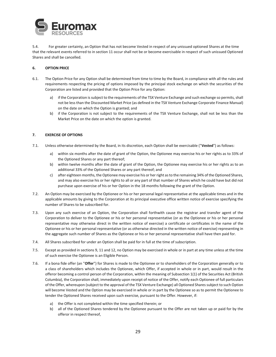

5.4. For greater certainty, an Option that has not become Vested in respect of any unissued optioned Shares at the time that the relevant events referred to in section 11 occur shall not be or become exercisable in respect of such unissued Optioned Shares and shall be cancelled.

# **6. OPTION PRICE**

- 6.1. The Option Price for any Option shall be determined from time to time by the Board, in compliance with all the rules and requirements respecting the pricing of options imposed by the principal stock exchange on which the securities of the Corporation are listed and provided that the Option Price for any Option:
	- a) if the Corporation is subject to the requirements of the TSX Venture Exchange and such exchange so permits, shall not be less than the Discounted Market Price (as defined in the TSX Venture Exchange Corporate Finance Manual) on the date on which the Option is granted; and
	- b) if the Corporation is not subject to the requirements of the TSX Venture Exchange, shall not be less than the Market Price on the date on which the option is granted.

# **7. EXERCISE OF OPTIONS**

- 7.1. Unless otherwise determined by the Board, in its discretion, each Option shall be exercisable ("**Vested**") as follows:
	- a) within six months after the date of grant of the Option, the Optionee may exercise his or her rights as to 33% of the Optioned Shares or any part thereof;
	- b) within twelve months after the date of grant of the Option, the Optionee may exercise his or her rights as to an additional 33% of the Optioned Shares or any part thereof; and
	- c) after eighteen months, the Optionee may exercise his or her right as to the remaining 34% of the Optioned Shares, and may also exercise his or her rights to all or any part of that number of Shares which he could have but did not purchase upon exercise of his or her Option in the 18 months following the grant of the Option.
- 7.2. An Option may be exercised by the Optionee or his or her personal legal representative at the applicable times and in the applicable amounts by giving to the Corporation at its principal executive office written notice of exercise specifying the number of Shares to be subscribed for.
- 7.3. Upon any such exercise of an Option, the Corporation shall forthwith cause the registrar and transfer agent of the Corporation to deliver to the Optionee or his or her personal representative (or as the Optionee or his or her personal representative may otherwise direct in the written notice of exercise) a certificate or certificates in the name of the Optionee or his or her personal representative (or as otherwise directed in the written notice of exercise) representing in the aggregate such number of Shares as the Optionee or his or her personal representative shall have then paid for.
- 7.4. All Shares subscribed for under an Option shall be paid for in full at the time of subscription.
- 7.5. Except as provided in sections 9, 11 and 12, no Option may be exercised in whole or in part at any time unless at the time of such exercise the Optionee is an Eligible Person.
- 7.6. If a bona fide offer (an "**Offer**") for Shares is made to the Optionee or to shareholders of the Corporation generally or to a class of shareholders which includes the Optionee, which Offer, if accepted in whole or in part, would result in the offeror becoming a control person of the Corporation, within the meaning of Subsection 1(1) of the Securities Act (British Columbia), the Corporation shall, immediately upon receipt of notice of the Offer, notify each Optionee of full particulars of the Offer, whereupon (subject to the approval of the TSX Venture Exchange) all Optioned Shares subject to such Option will become Vested and the Option may be exercised in whole or in part by the Optionee so as to permit the Optionee to tender the Optioned Shares received upon such exercise, pursuant to the Offer. However, if:
	- a) the Offer is not completed within the time specified therein; or
	- b) all of the Optioned Shares tendered by the Optionee pursuant to the Offer are not taken up or paid for by the offeror in respect thereof,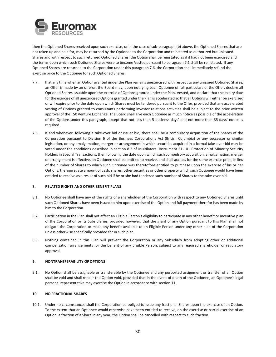

then the Optioned Shares received upon such exercise, or in the case of sub-paragraph (b) above, the Optioned Shares that are not taken up and paid for, may be returned by the Optionee to the Corporation and reinstated as authorized but unissued Shares and with respect to such returned Optioned Shares, the Option shall be reinstated as if it had not been exercised and the terms upon which such Optioned Shares were to become Vested pursuant to paragraph 7.1 shall be reinstated. If any Optioned Shares are returned to the Corporation under this paragraph 7.6, the Corporation shall immediately refund the exercise price to the Optionee for such Optioned Shares.

- 7.7. If at any time when an Option granted under the Plan remains unexercised with respect to any unissued Optioned Shares, an Offer is made by an offeror, the Board may, upon notifying each Optionee of full particulars of the Offer, declare all Optioned Shares issuable upon the exercise of Options granted under the Plan, Vested, and declare that the expiry date for the exercise of all unexercised Options granted under the Plan is accelerated so that all Options will either be exercised or will expire prior to the date upon which Shares must be tendered pursuant to the Offer, provided that any accelerated vesting of Options granted to consultants performing investor relations activities shall be subject to the prior written approval of the TSX Venture Exchange. The Board shall give each Optionee as much notice as possible of the acceleration of the Options under this paragraph, except that not less than 5 business days' and not more than 35 days' notice is required.
- 7.8. If and whenever, following a take-over bid or issuer bid, there shall be a compulsory acquisition of the Shares of the Corporation pursuant to Division 6 of the Business Corporations Act (British Columbia) or any successor or similar legislation, or any amalgamation, merger or arrangement in which securities acquired in a formal take-over bid may be voted under the conditions described in section 8.2 of Multilateral Instrument 61-101 Protection of Minority Security Holders in Special Transactions, then following the date upon which such compulsory acquisition, amalgamation, merger or arrangement is effective, an Optionee shall be entitled to receive, and shall accept, for the same exercise price, in lieu of the number of Shares to which such Optionee was theretofore entitled to purchase upon the exercise of his or her Options, the aggregate amount of cash, shares, other securities or other property which such Optionee would have been entitled to receive as a result of such bid if he or she had tendered such number of Shares to the take-over bid.

## **8. RELATED RIGHTS AND OTHER BENEFIT PLANS**

- 8.1. No Optionee shall have any of the rights of a shareholder of the Corporation with respect to any Optioned Shares until such Optioned Shares have been issued to him upon exercise of the Option and full payment therefor has been made by him to the Corporation.
- 8.2. Participation in the Plan shall not affect an Eligible Person's eligibility to participate in any other benefit or incentive plan of the Corporation or its Subsidiaries, provided however, that the grant of any Option pursuant to this Plan shall not obligate the Corporation to make any benefit available to an Eligible Person under any other plan of the Corporation unless otherwise specifically provided for in such plan.
- 8.3. Nothing contained in this Plan will prevent the Corporation or any Subsidiary from adopting other or additional compensation arrangements for the benefit of any Eligible Person, subject to any required shareholder or regulatory approval.

# **9. NONTRANSFERABILITY OF OPTIONS**

9.1. No Option shall be assignable or transferable by the Optionee and any purported assignment or transfer of an Option shall be void and shall render the Option void, provided that in the event of death of the Optionee, an Optionee's legal personal representative may exercise the Option in accordance with section 11.

# **10. NO FRACTIONAL SHARES**

10.1. Under no circumstances shall the Corporation be obliged to issue any fractional Shares upon the exercise of an Option. To the extent that an Optionee would otherwise have been entitled to receive, on the exercise or partial exercise of an Option, a fraction of a Share in any year, the Option shall be cancelled with respect to such fraction.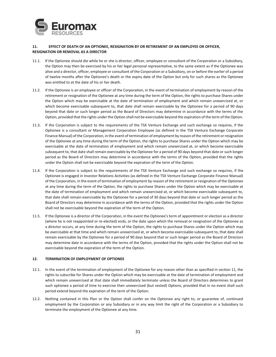

# **11. EFFECT OF DEATH OF AN OPTIONEE, RESIGNATION BY OR RETIREMENT OF AN EMPLOYEE OR OFFICER, RESIGNATION OR REMOVAL AS A DIRECTOR**

- 11.1. If the Optionee should die while he or she is director, officer, employee or consultant of the Corporation or a Subsidiary, the Option may then be exercised by his or her legal personal representative, to the same extent as if the Optionee was alive and a director, officer, employee or consultant of the Corporation or a Subsidiary, on or before the earlier of a period of twelve months after the Optionee's death or the expiry date of the Option but only for such shares as the Optionee was entitled to at the date of his or her death.
- 11.2. If the Optionee is an employee or officer of the Corporation, in the event of termination of employment by reason of the retirement or resignation of the Optionee at any time during the term of the Option, the rights to purchase Shares under the Option which may be exercisable at the date of termination of employment and which remain unexercised at, or which become exercisable subsequent to, that date shall remain exercisable by the Optionee for a period of 90 days beyond that date or such longer period as the Board of Directors may determine in accordance with the terms of the Option, provided that the rights under the Option shall not be exercisable beyond the expiration of the term of the Option.
- 11.3. If the Corporation is subject to the requirements of the TSX Venture Exchange and such exchange so requires, if the Optionee is a consultant or Management Corporation Employee (as defined in the TSX Venture Exchange Corporate Finance Manual) of the Corporation, in the event of termination of employment by reason of the retirement or resignation of the Optionee at any time during the term of the Option, the rights to purchase Shares under the Option which may be exercisable at the date of termination of employment and which remain unexercised at, or which become exercisable subsequent to, that date shall remain exercisable by the Optionee for a period of 90 days beyond that date or such longer period as the Board of Directors may determine in accordance with the terms of the Option, provided that the rights under the Option shall not be exercisable beyond the expiration of the term of the Option.
- 11.4. If the Corporation is subject to the requirements of the TSX Venture Exchange and such exchange so requires, if the Optionee is engaged in Investor Relations Activities (as defined in the TSX Venture Exchange Corporate Finance Manual) of the Corporation, in the event of termination of employment by reason of the retirement or resignation of the Optionee at any time during the term of the Option, the rights to purchase Shares under the Option which may be exercisable at the date of termination of employment and which remain unexercised at, or which become exercisable subsequent to, that date shall remain exercisable by the Optionee for a period of 30 days beyond that date or such longer period as the Board of Directors may determine in accordance with the terms of the Option, provided that the rights under the Option shall not be exercisable beyond the expiration of the term of the Option.
- 11.5. If the Optionee is a director of the Corporation, in the event the Optionee's term of appointment or election as a director (where he is not reappointed or re-elected) ends, or the date upon which the removal or resignation of the Optionee as a director occurs, at any time during the term of the Option, the rights to purchase Shares under the Option which may be exercisable at that time and which remain unexercised at, or which become exercisable subsequent to, that date shall remain exercisable by the Optionee for a period of 90 days beyond that or such longer period as the Board of Directors may determine date in accordance with the terms of the Option, provided that the rights under the Option shall not be exercisable beyond the expiration of the term of the Option.

# **12. TERMINATION OF EMPLOYMENT OF OPTIONEE**

- 12.1. In the event of the termination of employment of the Optionee for any reason other than as specified in section 11, the rights to subscribe for Shares under the Option which may be exercisable at the date of termination of employment and which remain unexercised at that date shall immediately terminate unless the Board of Directors determines to grant such optionee a period of time to exercise then unexercised (but vested) Options, provided that in no event shall such period extend beyond the expiration of the term of the Option.
- 12.2. Nothing contained in this Plan or the Option shall confer on the Optionee any right to, or guarantee of, continued employment by the Corporation or any Subsidiary or in any way limit the right of the Corporation or a Subsidiary to terminate the employment of the Optionee at any time.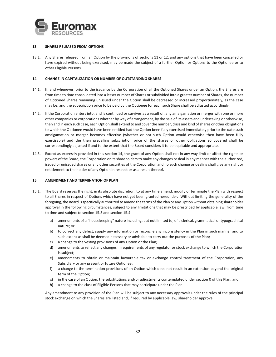

## **13. SHARES RELEASED FROM OPTIONS**

13.1. Any Shares released from an Option by the provisions of sections 11 or 12, and any options that have been cancelled or have expired without being exercised, may be made the subject of a further Option or Options to the Optionee or to other Eligible Persons.

## **14. CHANGE IN CAPITALIZATION OR NUMBER OF OUTSTANDING SHARES**

- 14.1. If, and whenever, prior to the issuance by the Corporation of all the Optioned Shares under an Option, the Shares are from time to time consolidated into a lesser number of Shares or subdivided into a greater number of Shares, the number of Optioned Shares remaining unissued under the Option shall be decreased or increased proportionately, as the case may be, and the subscription price to be paid by the Optionee for each such Share shall be adjusted accordingly.
- 14.2. If the Corporation enters into, and is continued or survives as a result of, any amalgamation or merger with one or more other companies or corporations whether by way of arrangement, by the sale of its assets and undertaking or otherwise, then and in each such case, each Option shall extend to and cover the number, class and kind of shares or other obligations to which the Optionee would have been entitled had the Option been fully exercised immediately prior to the date such amalgamation or merger becomes effective (whether or not such Option would otherwise then have been fully exercisable) and the then prevailing subscription price of the shares or other obligations so covered shall be correspondingly adjusted if and to the extent that the Board considers it to be equitable and appropriate.
- 14.3. Except as expressly provided in this section 14, the grant of any Option shall not in any way limit or affect the rights or powers of the Board, the Corporation or its shareholders to make any changes or deal in any manner with the authorized, issued or unissued shares or any other securities of the Corporation and no such change or dealing shall give any right or entitlement to the holder of any Option in respect or as a result thereof.

## **15. AMENDMENT AND TERMINATION OF PLAN**

- 15.1. The Board reserves the right, in its absolute discretion, to at any time amend, modify or terminate the Plan with respect to all Shares in respect of Options which have not yet been granted hereunder. Without limiting the generality of the foregoing, the Board is specifically authorized to amend the terms of the Plan or any Option without obtaining shareholder approval in the following circumstances, subject to any limitations that may be prescribed by applicable law, from time to time and subject to section 15.3 and section 15.4:
	- a) amendments of a "housekeeping" nature including, but not limited to, of a clerical, grammatical or typographical nature; or
	- b) to correct any defect, supply any information or reconcile any inconsistency in the Plan in such manner and to such extent as shall be deemed necessary or advisable to carry out the purposes of the Plan;
	- c) a change to the vesting provisions of any Option or the Plan;
	- d) amendments to reflect any changes in requirements of any regulator or stock exchange to which the Corporation is subject;
	- e) amendments to obtain or maintain favourable tax or exchange control treatment of the Corporation, any Subsidiary or any present or future Optionee;
	- f) a change to the termination provisions of an Option which does not result in an extension beyond the original term of the Option;
	- g) in the case of an Option, the substitutions and/or adjustments contemplated under section 0 of this Plan; and
	- h) a change to the class of Eligible Persons that may participate under the Plan.

Any amendment to any provision of the Plan will be subject to any necessary approvals under the rules of the principal stock exchange on which the Shares are listed and, if required by applicable law, shareholder approval.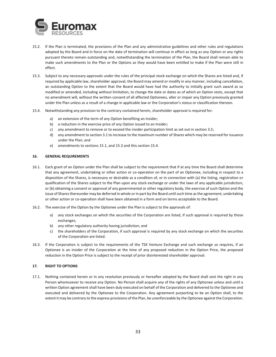

- 15.2. If the Plan is terminated, the provisions of the Plan and any administrative guidelines and other rules and regulations adopted by the Board and in force on the date of termination will continue in effect as long as any Option or any rights pursuant thereto remain outstanding and, notwithstanding the termination of the Plan, the Board shall remain able to make such amendments to the Plan or the Options as they would have been entitled to make if the Plan were still in effect.
- 15.3. Subject to any necessary approvals under the rules of the principal stock exchange on which the Shares are listed and, if required by applicable law, shareholder approval, the Board may amend or modify in any manner, including cancellation, an outstanding Option to the extent that the Board would have had the authority to initially grant such award as so modified or amended, including without limitation, to change the date or dates as of which an Option vests, except that no amendment will, without the written consent of all affected Optionees, alter or impair any Option previously granted under the Plan unless as a result of a change in applicable law or the Corporation's status or classification thereon.
- 15.4. Notwithstanding any provision to the contrary contained herein, shareholder approval is required for:
	- a) an extension of the term of any Option benefiting an Insider;
	- b) a reduction in the exercise price of any Option issued to an Insider;
	- c) any amendment to remove or to exceed the insider participation limit as set out in section 3.5;
	- d) any amendment to section 3.1 to increase to the maximum number of Shares which may be reserved for issuance under the Plan; and
	- e) amendments to sections 15.1, and 15.3 and this section 15.4.

## **16. GENERAL REQUIREMENTS**

- 16.1. Each grant of an Option under the Plan shall be subject to the requirement that if at any time the Board shall determine that any agreement, undertaking or other action or co-operation on the part of an Optionee, including in respect to a disposition of the Shares, is necessary or desirable as a condition of, or in connection with (a) the listing, registration or qualification of the Shares subject to the Plan upon any stock exchange or under the laws of any applicable jurisdiction, or (b) obtaining a consent or approval of any governmental or other regulatory body, the exercise of such Option and the issue of Shares thereunder may be deferred in whole or in part by the Board until such time as the agreement, undertaking or other action or co-operation shall have been obtained in a form and on terms acceptable to the Board.
- 16.2. The exercise of the Option by the Optionee under the Plan is subject to the approvals of:
	- a) any stock exchanges on which the securities of the Corporation are listed, if such approval is required by those exchanges;
	- b) any other regulatory authority having jurisdiction; and
	- c) the shareholders of the Corporation, if such approval is required by any stock exchange on which the securities of the Corporation are listed.
- 16.3. If the Corporation is subject to the requirements of the TSX Venture Exchange and such exchange so requires, if an Optionee is an insider of the Corporation at the time of any proposed reduction in the Option Price, the proposed reduction in the Option Price is subject to the receipt of prior disinterested shareholder approval.

# **17. RIGHT TO OPTIONS**

17.1. Nothing contained herein or in any resolution previously or hereafter adopted by the Board shall vest the right in any Person whomsoever to receive any Option. No Person shall acquire any of the rights of any Optionee unless and until a written Option agreement shall have been duly executed on behalf of the Corporation and delivered to the Optionee and executed and delivered by the Optionee to the Corporation. Any agreement purporting to be an Option shall, to the extent it may be contrary to the express provisions of the Plan, be unenforceable by the Optionee against the Corporation.